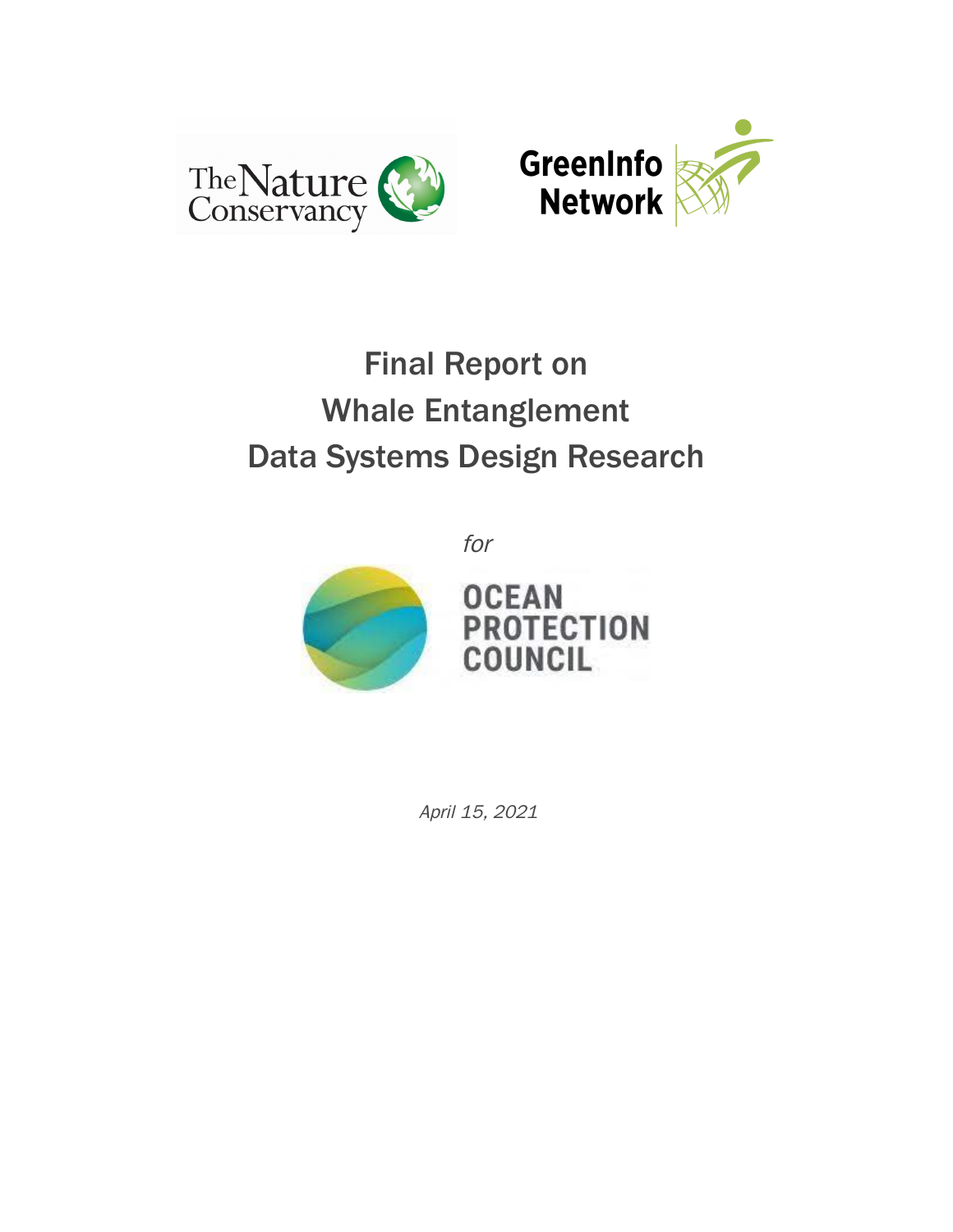



# Final Report on Whale Entanglement Data Systems Design Research

for



April 15, 2021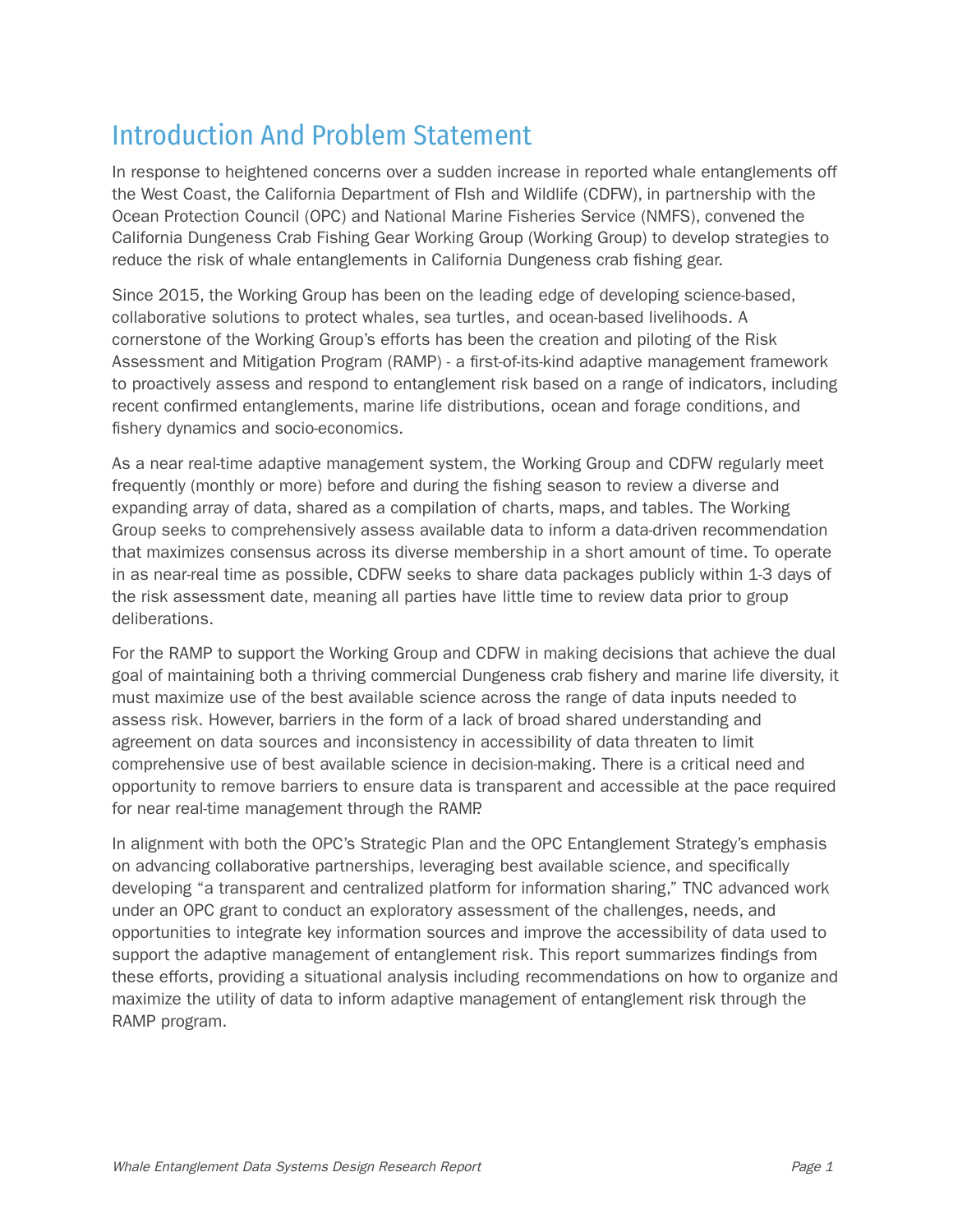## Introduction And Problem Statement

In response to heightened concerns over a sudden increase in reported whale entanglements off the West Coast, the California Department of FIsh and Wildlife (CDFW), in partnership with the Ocean Protection Council (OPC) and National Marine Fisheries Service (NMFS), convened the California Dungeness Crab Fishing Gear Working Group (Working Group) to develop strategies to reduce the risk of whale entanglements in California Dungeness crab fishing gear.

Since 2015, the Working Group has been on the leading edge of developing science-based, collaborative solutions to protect whales, sea turtles, and ocean-based livelihoods. A cornerstone of the Working Group's efforts has been the creation and piloting of the Risk Assessment and Mitigation Program (RAMP) - a first-of-its-kind adaptive management framework to proactively assess and respond to entanglement risk based on a range of indicators, including recent confirmed entanglements, marine life distributions, ocean and forage conditions, and fishery dynamics and socio-economics.

As a near real-time adaptive management system, the Working Group and CDFW regularly meet frequently (monthly or more) before and during the fishing season to review a diverse and expanding array of data, shared as a compilation of charts, maps, and tables. The Working Group seeks to comprehensively assess available data to inform a data-driven recommendation that maximizes consensus across its diverse membership in a short amount of time. To operate in as near-real time as possible, CDFW seeks to share data packages publicly within 1-3 days of the risk assessment date, meaning all parties have little time to review data prior to group deliberations.

For the RAMP to support the Working Group and CDFW in making decisions that achieve the dual goal of maintaining both a thriving commercial Dungeness crab fishery and marine life diversity, it must maximize use of the best available science across the range of data inputs needed to assess risk. However, barriers in the form of a lack of broad shared understanding and agreement on data sources and inconsistency in accessibility of data threaten to limit comprehensive use of best available science in decision-making. There is a critical need and opportunity to remove barriers to ensure data is transparent and accessible at the pace required for near real-time management through the RAMP.

In alignment with both the OPC's Strategic Plan and the OPC Entanglement Strategy's emphasis on advancing collaborative partnerships, leveraging best available science, and specifically developing "a transparent and centralized platform for information sharing," TNC advanced work under an OPC grant to conduct an exploratory assessment of the challenges, needs, and opportunities to integrate key information sources and improve the accessibility of data used to support the adaptive management of entanglement risk. This report summarizes findings from these efforts, providing a situational analysis including recommendations on how to organize and maximize the utility of data to inform adaptive management of entanglement risk through the RAMP program.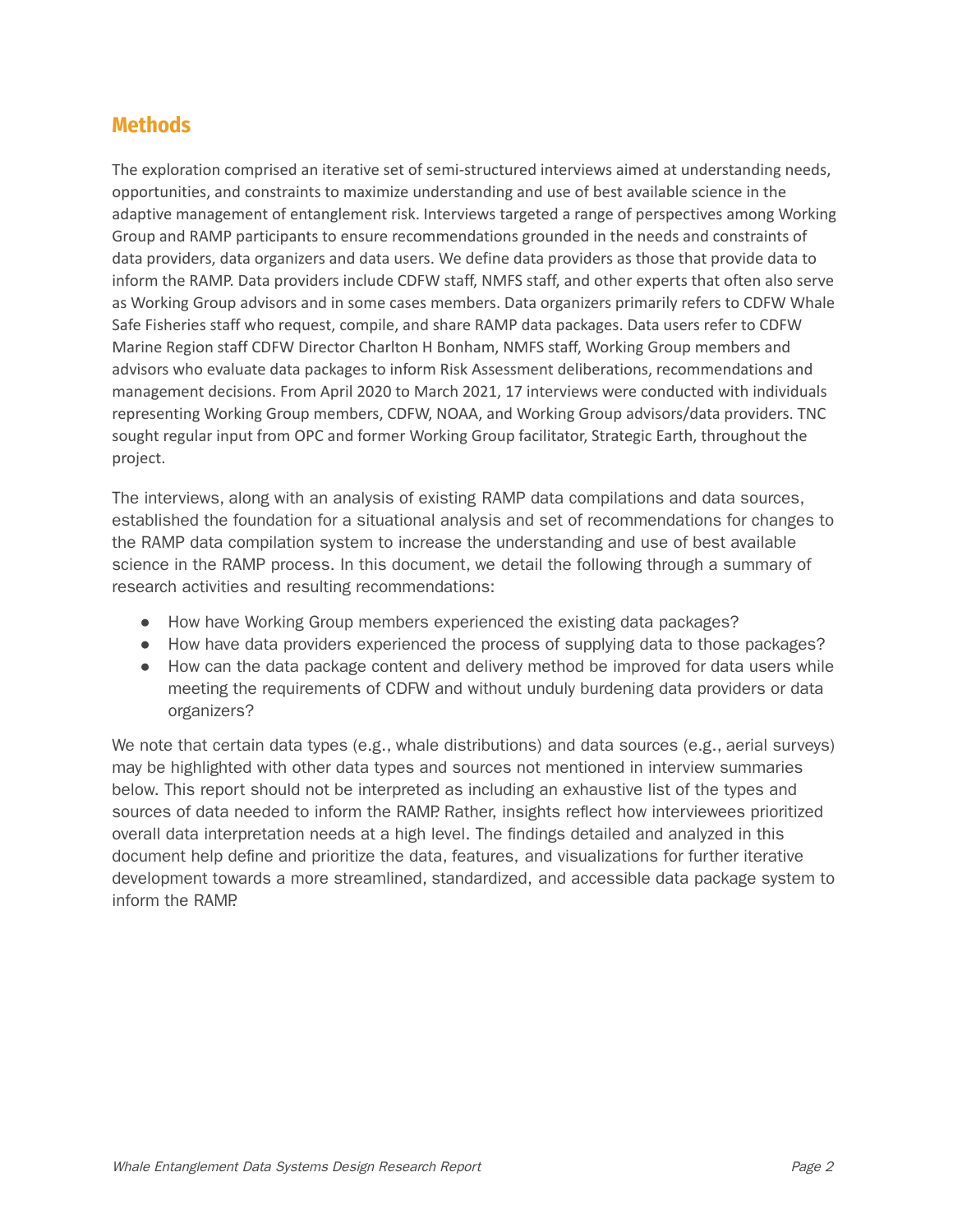## **Methods**

The exploration comprised an iterative set of semi-structured interviews aimed at understanding needs, opportunities, and constraints to maximize understanding and use of best available science in the adaptive management of entanglement risk. Interviews targeted a range of perspectives among Working Group and RAMP participants to ensure recommendations grounded in the needs and constraints of data providers, data organizers and data users. We define data providers as those that provide data to inform the RAMP. Data providers include CDFW staff, NMFS staff, and other experts that often also serve as Working Group advisors and in some cases members. Data organizers primarily refers to CDFW Whale Safe Fisheries staff who request, compile, and share RAMP data packages. Data users refer to CDFW Marine Region staff CDFW Director Charlton H Bonham, NMFS staff, Working Group members and advisors who evaluate data packages to inform Risk Assessment deliberations, recommendations and management decisions. From April 2020 to March 2021, 17 interviews were conducted with individuals representing Working Group members, CDFW, NOAA, and Working Group advisors/data providers. TNC sought regular input from OPC and former Working Group facilitator, Strategic Earth, throughout the project.

The interviews, along with an analysis of existing RAMP data compilations and data sources, established the foundation for a situational analysis and set of recommendations for changes to the RAMP data compilation system to increase the understanding and use of best available science in the RAMP process. In this document, we detail the following through a summary of research activities and resulting recommendations:

- How have Working Group members experienced the existing data packages?
- How have data providers experienced the process of supplying data to those packages?
- How can the data package content and delivery method be improved for data users while meeting the requirements of CDFW and without unduly burdening data providers or data organizers?

We note that certain data types (e.g., whale distributions) and data sources (e.g., aerial surveys) may be highlighted with other data types and sources not mentioned in interview summaries below. This report should not be interpreted as including an exhaustive list of the types and sources of data needed to inform the RAMP. Rather, insights reflect how interviewees prioritized overall data interpretation needs at a high level. The findings detailed and analyzed in this document help define and prioritize the data, features, and visualizations for further iterative development towards a more streamlined, standardized, and accessible data package system to inform the RAMP.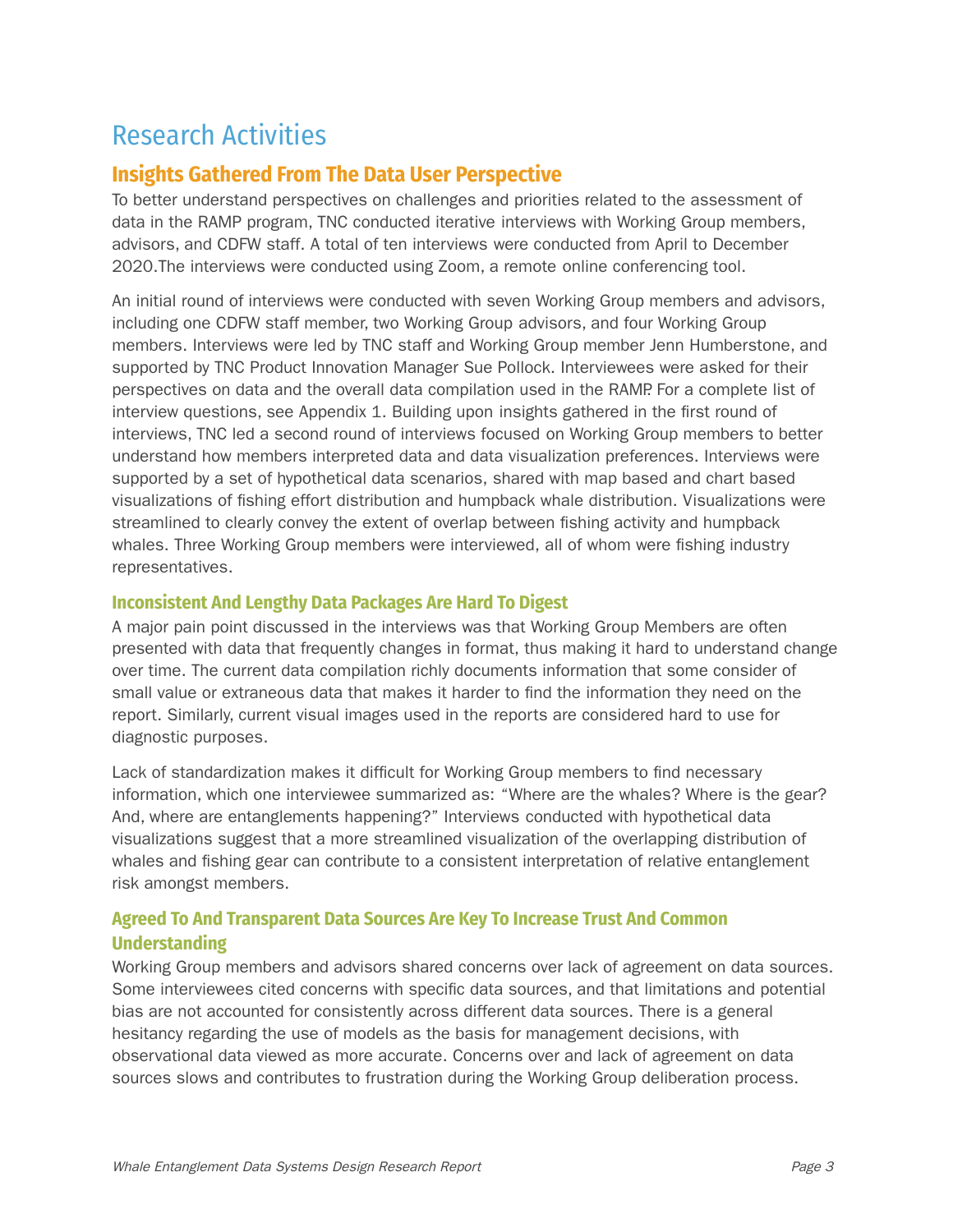## Research Activities

## **Insights Gathered From The Data User Perspective**

To better understand perspectives on challenges and priorities related to the assessment of data in the RAMP program, TNC conducted iterative interviews with Working Group members, advisors, and CDFW staff. A total of ten interviews were conducted from April to December 2020.The interviews were conducted using Zoom, a remote online conferencing tool.

An initial round of interviews were conducted with seven Working Group members and advisors, including one CDFW staff member, two Working Group advisors, and four Working Group members. Interviews were led by TNC staff and Working Group member Jenn Humberstone, and supported by TNC Product Innovation Manager Sue Pollock. Interviewees were asked for their perspectives on data and the overall data compilation used in the RAMP. For a complete list of interview questions, see Appendix 1. Building upon insights gathered in the first round of interviews, TNC led a second round of interviews focused on Working Group members to better understand how members interpreted data and data visualization preferences. Interviews were supported by a set of hypothetical data scenarios, shared with map based and chart based visualizations of fishing effort distribution and humpback whale distribution. Visualizations were streamlined to clearly convey the extent of overlap between fishing activity and humpback whales. Three Working Group members were interviewed, all of whom were fishing industry representatives.

#### **Inconsistent And Lengthy Data Packages Are Hard To Digest**

A major pain point discussed in the interviews was that Working Group Members are often presented with data that frequently changes in format, thus making it hard to understand change over time. The current data compilation richly documents information that some consider of small value or extraneous data that makes it harder to find the information they need on the report. Similarly, current visual images used in the reports are considered hard to use for diagnostic purposes.

Lack of standardization makes it difficult for Working Group members to find necessary information, which one interviewee summarized as: "Where are the whales? Where is the gear? And, where are entanglements happening?" Interviews conducted with hypothetical data visualizations suggest that a more streamlined visualization of the overlapping distribution of whales and fishing gear can contribute to a consistent interpretation of relative entanglement risk amongst members.

#### **Agreed To And Transparent Data Sources Are Key To Increase Trust And Common Understanding**

Working Group members and advisors shared concerns over lack of agreement on data sources. Some interviewees cited concerns with specific data sources, and that limitations and potential bias are not accounted for consistently across different data sources. There is a general hesitancy regarding the use of models as the basis for management decisions, with observational data viewed as more accurate. Concerns over and lack of agreement on data sources slows and contributes to frustration during the Working Group deliberation process.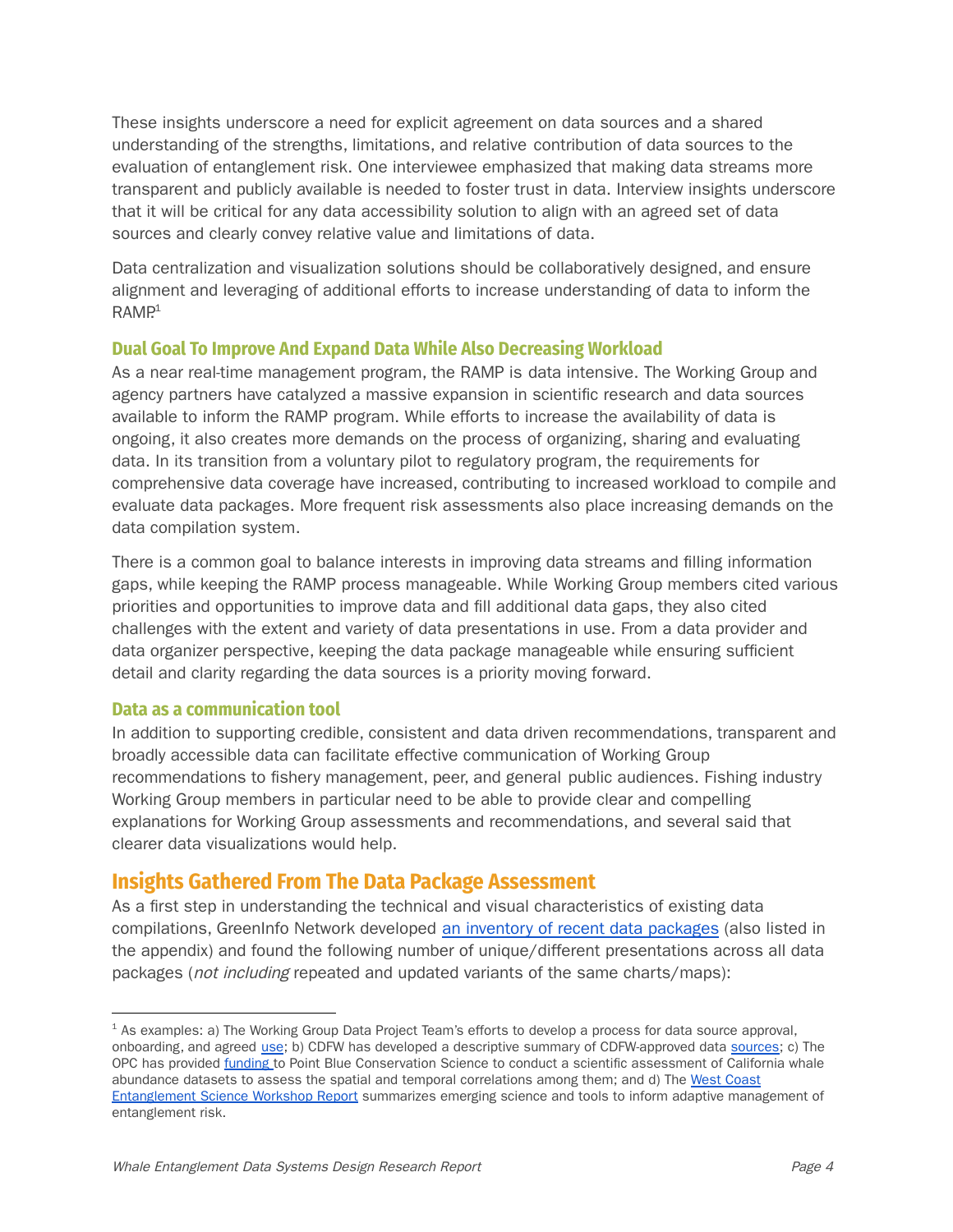These insights underscore a need for explicit agreement on data sources and a shared understanding of the strengths, limitations, and relative contribution of data sources to the evaluation of entanglement risk. One interviewee emphasized that making data streams more transparent and publicly available is needed to foster trust in data. Interview insights underscore that it will be critical for any data accessibility solution to align with an agreed set of data sources and clearly convey relative value and limitations of data.

Data centralization and visualization solutions should be collaboratively designed, and ensure alignment and leveraging of additional efforts to increase understanding of data to inform the  $\mathsf{RAMP}^\mathsf{1}$ 

#### **Dual Goal To Improve And Expand Data While Also Decreasing Workload**

As a near real-time management program, the RAMP is data intensive. The Working Group and agency partners have catalyzed a massive expansion in scientific research and data sources available to inform the RAMP program. While efforts to increase the availability of data is ongoing, it also creates more demands on the process of organizing, sharing and evaluating data. In its transition from a voluntary pilot to regulatory program, the requirements for comprehensive data coverage have increased, contributing to increased workload to compile and evaluate data packages. More frequent risk assessments also place increasing demands on the data compilation system.

There is a common goal to balance interests in improving data streams and filling information gaps, while keeping the RAMP process manageable. While Working Group members cited various priorities and opportunities to improve data and fill additional data gaps, they also cited challenges with the extent and variety of data presentations in use. From a data provider and data organizer perspective, keeping the data package manageable while ensuring sufficient detail and clarity regarding the data sources is a priority moving forward.

#### **Data as a communication tool**

In addition to supporting credible, consistent and data driven recommendations, transparent and broadly accessible data can facilitate effective communication of Working Group recommendations to fishery management, peer, and general public audiences. Fishing industry Working Group members in particular need to be able to provide clear and compelling explanations for Working Group assessments and recommendations, and several said that clearer data visualizations would help.

#### **Insights Gathered From The Data Package Assessment**

As a first step in understanding the technical and visual characteristics of existing data compilations, GreenInfo Network developed an inventory of recent data [packages](https://docs.google.com/spreadsheets/d/1jONlGYscgoweA1MtYbRuiOdRBT3AzZ2xXimb1zIXdbg/edit#gid=1677930714) (also listed in the appendix) and found the following number of unique/different presentations across all data packages (not including repeated and updated variants of the same charts/maps):

<sup>&</sup>lt;sup>1</sup> As examples: a) The Working Group Data Project Team's efforts to develop a process for data source approval, onboarding, and agreed [use](https://docs.google.com/spreadsheets/d/1IwIgtG4iXBHiUXy6k5OHq_JN-CwiX9mU_WEOsSMxUOI/edit?usp=sharing); b) CDFW has developed a descriptive summary of CDFW-approved data [sources;](https://nrm.dfg.ca.gov/FileHandler.ashx?DocumentID=191942&inline) c) The OPC has provided [funding](https://opc.ca.gov/webmaster/ftp/pdf/agenda_items/20200619/Item7_Reducing_the_Risk_of_Entanglement_in_Fishing_Gear_Staff_Recommendation_June_19_2020.pdf) to Point Blue Conservation Science to conduct a scientific assessment of California whale abundance datasets to assess the spatial and temporal correlations among them; and d) The West [Coast](https://www.opc.ca.gov/webmaster/_media_library/2021/01/West-Coast-Entanglement-Science-Workshop-Report_Final.pdf) [Entanglement](https://www.opc.ca.gov/webmaster/_media_library/2021/01/West-Coast-Entanglement-Science-Workshop-Report_Final.pdf) Science Workshop Report summarizes emerging science and tools to inform adaptive management of entanglement risk.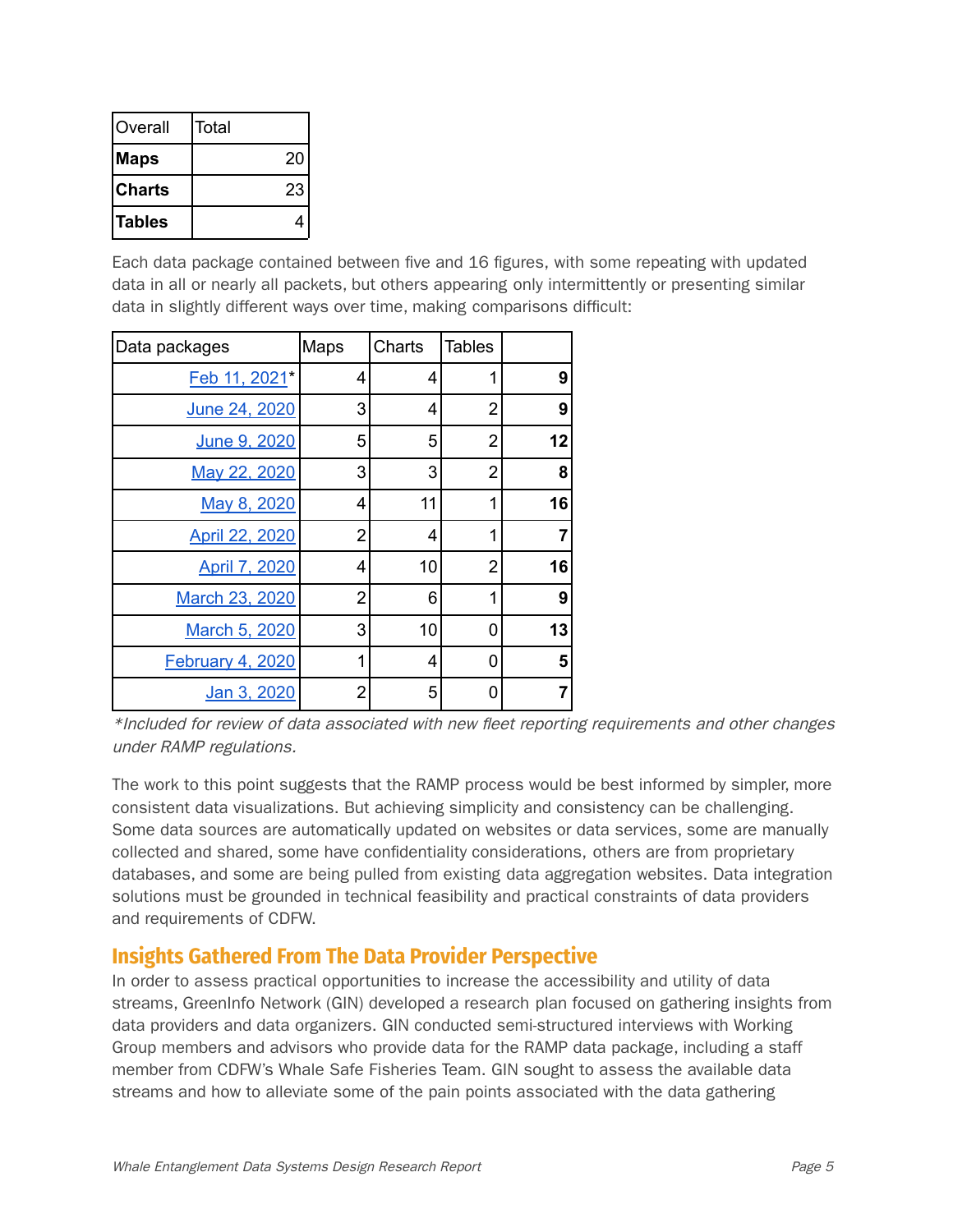| lOverall      | Total |
|---------------|-------|
| Maps          | 20    |
| lCharts       | 23    |
| <b>Tables</b> |       |

Each data package contained between five and 16 figures, with some repeating with updated data in all or nearly all packets, but others appearing only intermittently or presenting similar data in slightly different ways over time, making comparisons difficult:

| Data packages           | Maps           | Charts | <b>Tables</b>  |    |
|-------------------------|----------------|--------|----------------|----|
| Feb 11, 2021*           | 4              | 4      | 1              | 9  |
| June 24, 2020           | 3              | 4      | 2              | 9  |
| June 9, 2020            | 5              | 5      | 2              | 12 |
| May 22, 2020            | 3              | 3      | 2              | 8  |
| May 8, 2020             | 4              | 11     | 1              | 16 |
| April 22, 2020          | $\overline{2}$ | 4      | 1              | 7  |
| April 7, 2020           | 4              | 10     | $\overline{2}$ | 16 |
| March 23, 2020          | 2              | 6      | 1              | 9  |
| March 5, 2020           | 3              | 10     | 0              | 13 |
| <b>February 4, 2020</b> | 1              | 4      | 0              | 5  |
| Jan 3, 2020             | $\overline{2}$ | 5      | 0              |    |

<sup>\*</sup>Included for review of data associated with new fleet reporting requirements and other changes under RAMP regulations.

The work to this point suggests that the RAMP process would be best informed by simpler, more consistent data visualizations. But achieving simplicity and consistency can be challenging. Some data sources are automatically updated on websites or data services, some are manually collected and shared, some have confidentiality considerations, others are from proprietary databases, and some are being pulled from existing data aggregation websites. Data integration solutions must be grounded in technical feasibility and practical constraints of data providers and requirements of CDFW.

## **Insights Gathered From The Data Provider Perspective**

In order to assess practical opportunities to increase the accessibility and utility of data streams, GreenInfo Network (GIN) developed a research plan focused on gathering insights from data providers and data organizers. GIN conducted semi-structured interviews with Working Group members and advisors who provide data for the RAMP data package, including a staff member from CDFW's Whale Safe Fisheries Team. GIN sought to assess the available data streams and how to alleviate some of the pain points associated with the data gathering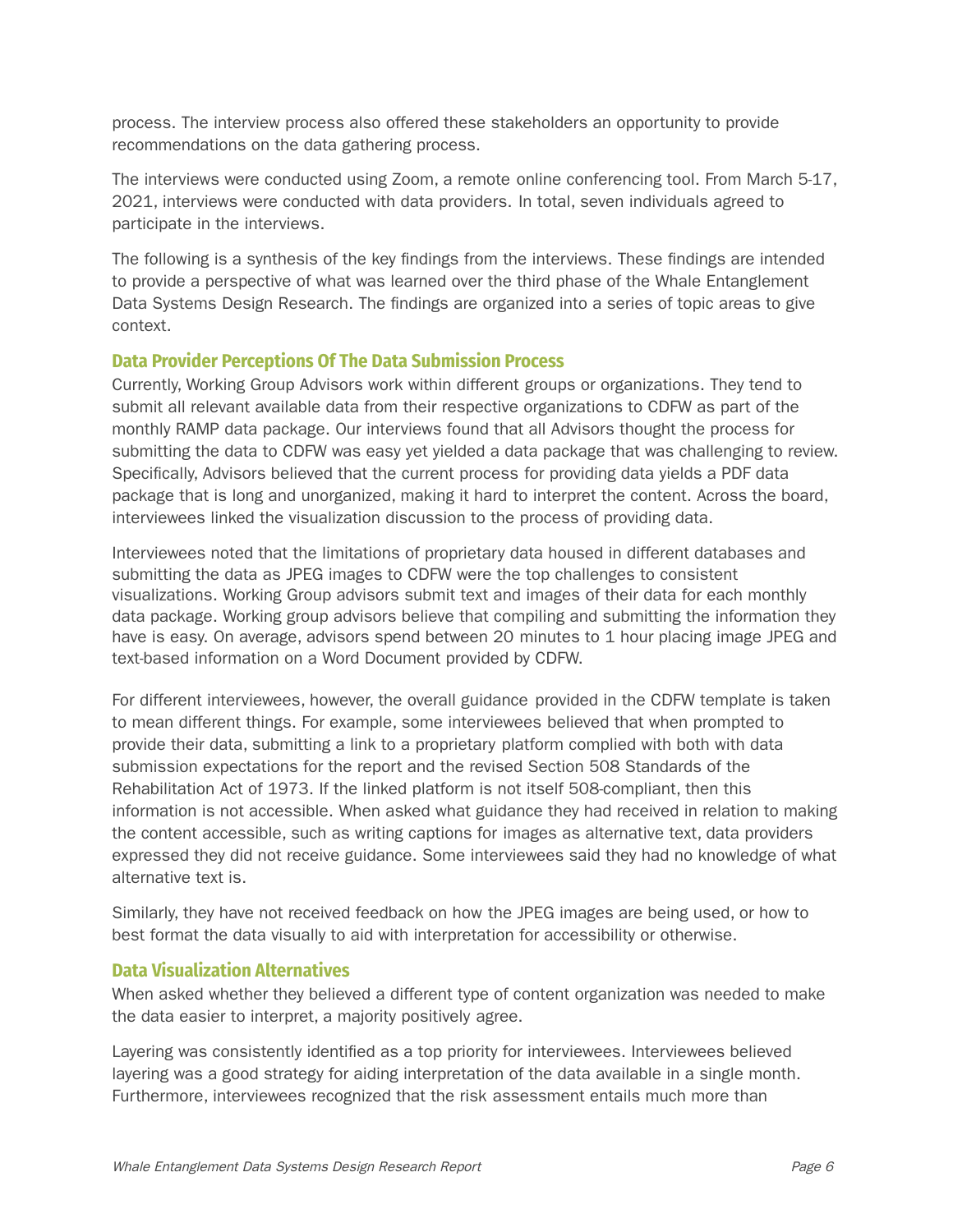process. The interview process also offered these stakeholders an opportunity to provide recommendations on the data gathering process.

The interviews were conducted using Zoom, a remote online conferencing tool. From March 5-17, 2021, interviews were conducted with data providers. In total, seven individuals agreed to participate in the interviews.

The following is a synthesis of the key findings from the interviews. These findings are intended to provide a perspective of what was learned over the third phase of the Whale Entanglement Data Systems Design Research. The findings are organized into a series of topic areas to give context.

#### **Data Provider Perceptions Of The Data Submission Process**

Currently, Working Group Advisors work within different groups or organizations. They tend to submit all relevant available data from their respective organizations to CDFW as part of the monthly RAMP data package. Our interviews found that all Advisors thought the process for submitting the data to CDFW was easy yet yielded a data package that was challenging to review. Specifically, Advisors believed that the current process for providing data yields a PDF data package that is long and unorganized, making it hard to interpret the content. Across the board, interviewees linked the visualization discussion to the process of providing data.

Interviewees noted that the limitations of proprietary data housed in different databases and submitting the data as JPEG images to CDFW were the top challenges to consistent visualizations. Working Group advisors submit text and images of their data for each monthly data package. Working group advisors believe that compiling and submitting the information they have is easy. On average, advisors spend between 20 minutes to 1 hour placing image JPEG and text-based information on a Word Document provided by CDFW.

For different interviewees, however, the overall guidance provided in the CDFW template is taken to mean different things. For example, some interviewees believed that when prompted to provide their data, submitting a link to a proprietary platform complied with both with data submission expectations for the report and the revised Section 508 Standards of the Rehabilitation Act of 1973. If the linked platform is not itself 508-compliant, then this information is not accessible. When asked what guidance they had received in relation to making the content accessible, such as writing captions for images as alternative text, data providers expressed they did not receive guidance. Some interviewees said they had no knowledge of what alternative text is.

Similarly, they have not received feedback on how the JPEG images are being used, or how to best format the data visually to aid with interpretation for accessibility or otherwise.

#### **Data Visualization Alternatives**

When asked whether they believed a different type of content organization was needed to make the data easier to interpret, a majority positively agree.

Layering was consistently identified as a top priority for interviewees. Interviewees believed layering was a good strategy for aiding interpretation of the data available in a single month. Furthermore, interviewees recognized that the risk assessment entails much more than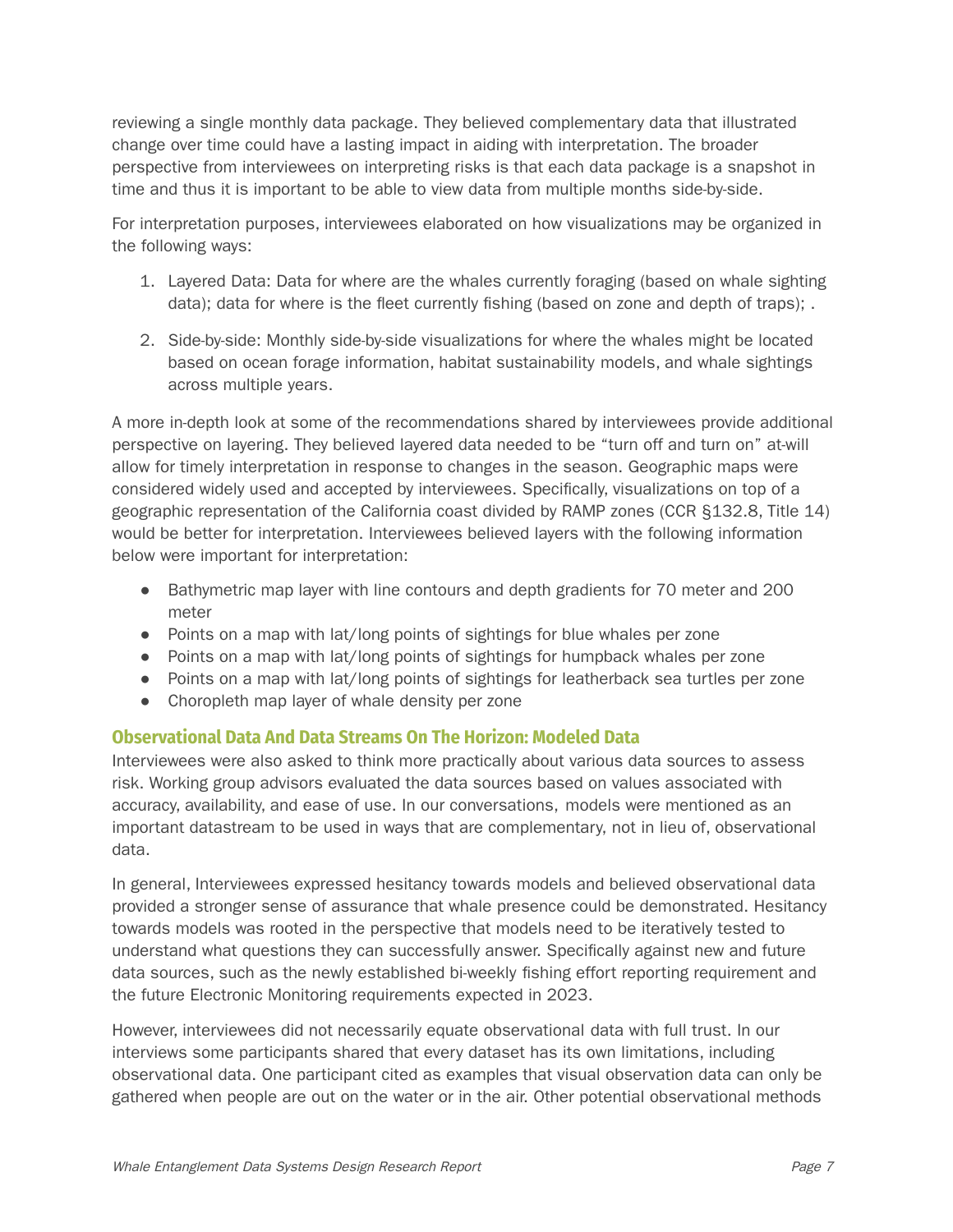reviewing a single monthly data package. They believed complementary data that illustrated change over time could have a lasting impact in aiding with interpretation. The broader perspective from interviewees on interpreting risks is that each data package is a snapshot in time and thus it is important to be able to view data from multiple months side-by-side.

For interpretation purposes, interviewees elaborated on how visualizations may be organized in the following ways:

- 1. Layered Data: Data for where are the whales currently foraging (based on whale sighting data); data for where is the fleet currently fishing (based on zone and depth of traps); .
- 2. Side-by-side: Monthly side-by-side visualizations for where the whales might be located based on ocean forage information, habitat sustainability models, and whale sightings across multiple years.

A more in-depth look at some of the recommendations shared by interviewees provide additional perspective on layering. They believed layered data needed to be "turn off and turn on" at-will allow for timely interpretation in response to changes in the season. Geographic maps were considered widely used and accepted by interviewees. Specifically, visualizations on top of a geographic representation of the California coast divided by RAMP zones (CCR §132.8, Title 14) would be better for interpretation. Interviewees believed layers with the following information below were important for interpretation:

- Bathymetric map layer with line contours and depth gradients for 70 meter and 200 meter
- Points on a map with lat/long points of sightings for blue whales per zone
- Points on a map with lat/long points of sightings for humpback whales per zone
- Points on a map with lat/long points of sightings for leatherback sea turtles per zone
- Choropleth map layer of whale density per zone

#### **Observational Data And Data Streams On The Horizon: Modeled Data**

Interviewees were also asked to think more practically about various data sources to assess risk. Working group advisors evaluated the data sources based on values associated with accuracy, availability, and ease of use. In our conversations, models were mentioned as an important datastream to be used in ways that are complementary, not in lieu of, observational data.

In general, Interviewees expressed hesitancy towards models and believed observational data provided a stronger sense of assurance that whale presence could be demonstrated. Hesitancy towards models was rooted in the perspective that models need to be iteratively tested to understand what questions they can successfully answer. Specifically against new and future data sources, such as the newly established bi-weekly fishing effort reporting requirement and the future Electronic Monitoring requirements expected in 2023.

However, interviewees did not necessarily equate observational data with full trust. In our interviews some participants shared that every dataset has its own limitations, including observational data. One participant cited as examples that visual observation data can only be gathered when people are out on the water or in the air. Other potential observational methods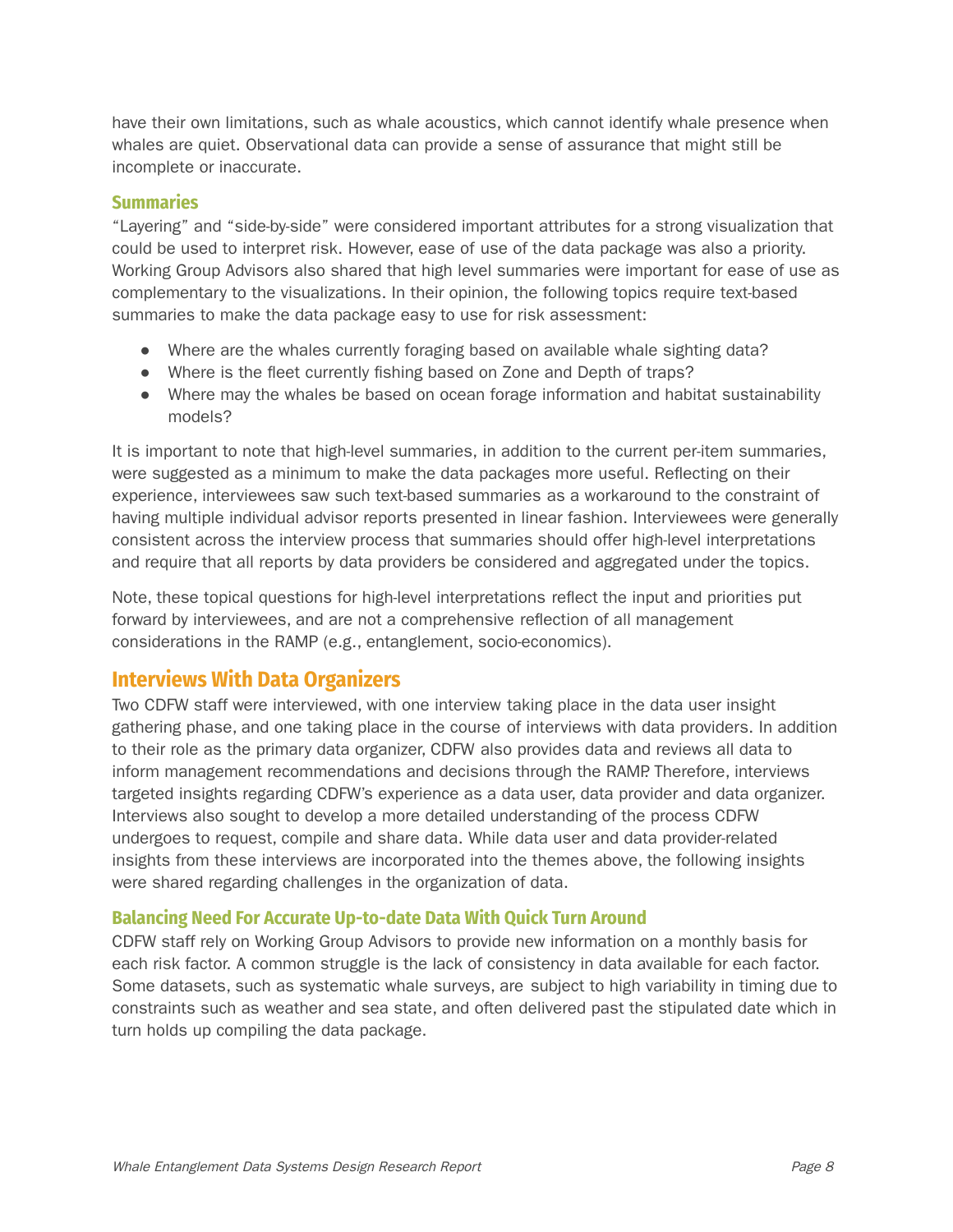have their own limitations, such as whale acoustics, which cannot identify whale presence when whales are quiet. Observational data can provide a sense of assurance that might still be incomplete or inaccurate.

#### **Summaries**

"Layering" and "side-by-side" were considered important attributes for a strong visualization that could be used to interpret risk. However, ease of use of the data package was also a priority. Working Group Advisors also shared that high level summaries were important for ease of use as complementary to the visualizations. In their opinion, the following topics require text-based summaries to make the data package easy to use for risk assessment:

- Where are the whales currently foraging based on available whale sighting data?
- Where is the fleet currently fishing based on Zone and Depth of traps?
- Where may the whales be based on ocean forage information and habitat sustainability models?

It is important to note that high-level summaries, in addition to the current per-item summaries, were suggested as a minimum to make the data packages more useful. Reflecting on their experience, interviewees saw such text-based summaries as a workaround to the constraint of having multiple individual advisor reports presented in linear fashion. Interviewees were generally consistent across the interview process that summaries should offer high-level interpretations and require that all reports by data providers be considered and aggregated under the topics.

Note, these topical questions for high-level interpretations reflect the input and priorities put forward by interviewees, and are not a comprehensive reflection of all management considerations in the RAMP (e.g., entanglement, socio-economics).

## **Interviews With Data Organizers**

Two CDFW staff were interviewed, with one interview taking place in the data user insight gathering phase, and one taking place in the course of interviews with data providers. In addition to their role as the primary data organizer, CDFW also provides data and reviews all data to inform management recommendations and decisions through the RAMP. Therefore, interviews targeted insights regarding CDFW's experience as a data user, data provider and data organizer. Interviews also sought to develop a more detailed understanding of the process CDFW undergoes to request, compile and share data. While data user and data provider-related insights from these interviews are incorporated into the themes above, the following insights were shared regarding challenges in the organization of data.

#### **Balancing Need For Accurate Up-to-date Data With Quick Turn Around**

CDFW staff rely on Working Group Advisors to provide new information on a monthly basis for each risk factor. A common struggle is the lack of consistency in data available for each factor. Some datasets, such as systematic whale surveys, are subject to high variability in timing due to constraints such as weather and sea state, and often delivered past the stipulated date which in turn holds up compiling the data package.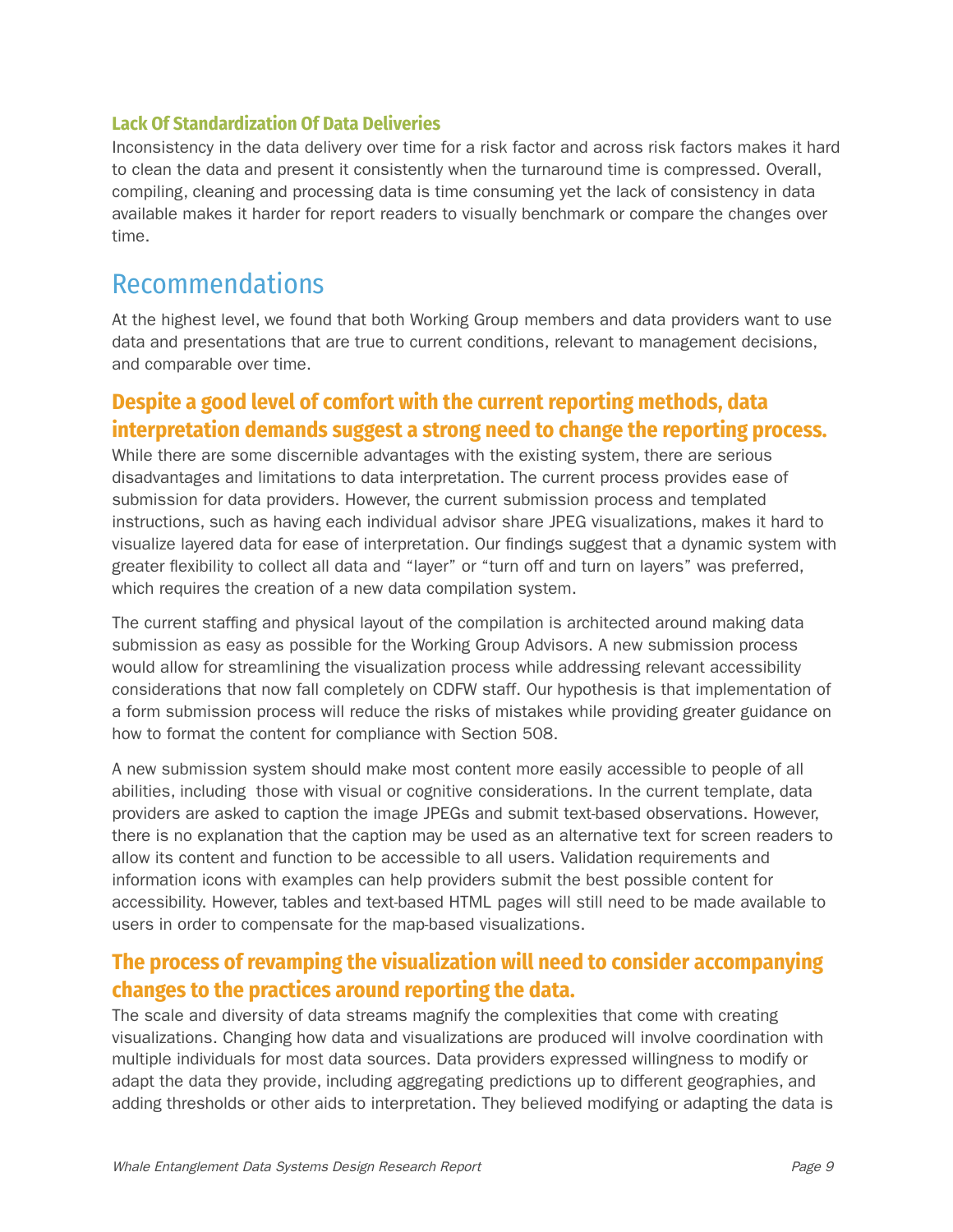#### **Lack Of Standardization Of Data Deliveries**

Inconsistency in the data delivery over time for a risk factor and across risk factors makes it hard to clean the data and present it consistently when the turnaround time is compressed. Overall, compiling, cleaning and processing data is time consuming yet the lack of consistency in data available makes it harder for report readers to visually benchmark or compare the changes over time.

## Recommendations

At the highest level, we found that both Working Group members and data providers want to use data and presentations that are true to current conditions, relevant to management decisions, and comparable over time.

## **Despite a good level of comfort with the current reporting methods, data interpretation demands suggest a strong need to change the reporting process.**

While there are some discernible advantages with the existing system, there are serious disadvantages and limitations to data interpretation. The current process provides ease of submission for data providers. However, the current submission process and templated instructions, such as having each individual advisor share JPEG visualizations, makes it hard to visualize layered data for ease of interpretation. Our findings suggest that a dynamic system with greater flexibility to collect all data and "layer" or "turn off and turn on layers" was preferred, which requires the creation of a new data compilation system.

The current staffing and physical layout of the compilation is architected around making data submission as easy as possible for the Working Group Advisors. A new submission process would allow for streamlining the visualization process while addressing relevant accessibility considerations that now fall completely on CDFW staff. Our hypothesis is that implementation of a form submission process will reduce the risks of mistakes while providing greater guidance on how to format the content for compliance with Section 508.

A new submission system should make most content more easily accessible to people of all abilities, including those with visual or cognitive considerations. In the current template, data providers are asked to caption the image JPEGs and submit text-based observations. However, there is no explanation that the caption may be used as an alternative text for screen readers to allow its content and function to be accessible to all users. Validation requirements and information icons with examples can help providers submit the best possible content for accessibility. However, tables and text-based HTML pages will still need to be made available to users in order to compensate for the map-based visualizations.

## **The process of revamping the visualization will need to consider accompanying changes to the practices around reporting the data.**

The scale and diversity of data streams magnify the complexities that come with creating visualizations. Changing how data and visualizations are produced will involve coordination with multiple individuals for most data sources. Data providers expressed willingness to modify or adapt the data they provide, including aggregating predictions up to different geographies, and adding thresholds or other aids to interpretation. They believed modifying or adapting the data is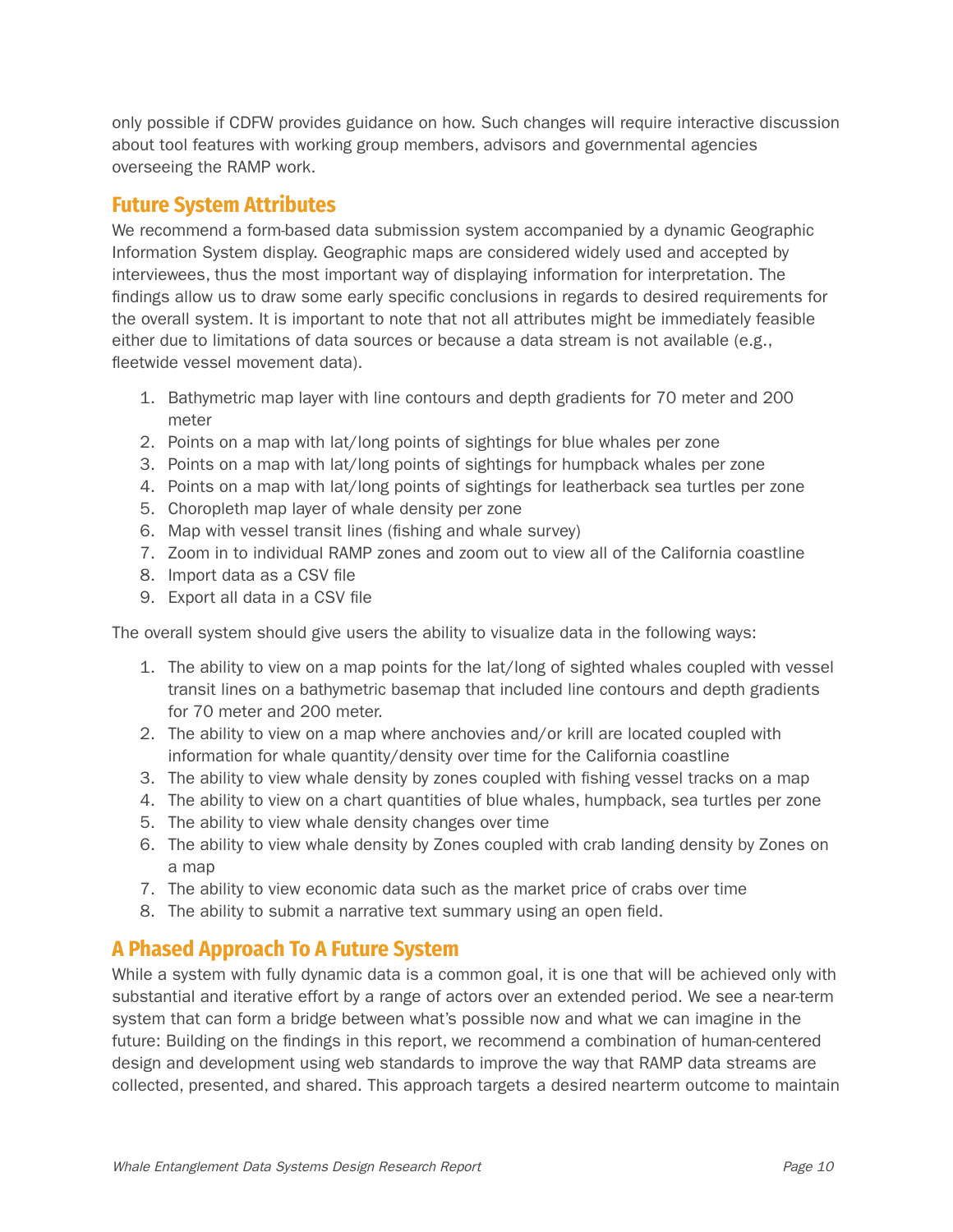only possible if CDFW provides guidance on how. Such changes will require interactive discussion about tool features with working group members, advisors and governmental agencies overseeing the RAMP work.

#### **Future System Attributes**

We recommend a form-based data submission system accompanied by a dynamic Geographic Information System display. Geographic maps are considered widely used and accepted by interviewees, thus the most important way of displaying information for interpretation. The findings allow us to draw some early specific conclusions in regards to desired requirements for the overall system. It is important to note that not all attributes might be immediately feasible either due to limitations of data sources or because a data stream is not available (e.g., fleetwide vessel movement data).

- 1. Bathymetric map layer with line contours and depth gradients for 70 meter and 200 meter
- 2. Points on a map with lat/long points of sightings for blue whales per zone
- 3. Points on a map with lat/long points of sightings for humpback whales per zone
- 4. Points on a map with lat/long points of sightings for leatherback sea turtles per zone
- 5. Choropleth map layer of whale density per zone
- 6. Map with vessel transit lines (fishing and whale survey)
- 7. Zoom in to individual RAMP zones and zoom out to view all of the California coastline
- 8. Import data as a CSV file
- 9. Export all data in a CSV file

The overall system should give users the ability to visualize data in the following ways:

- 1. The ability to view on a map points for the lat/long of sighted whales coupled with vessel transit lines on a bathymetric basemap that included line contours and depth gradients for 70 meter and 200 meter.
- 2. The ability to view on a map where anchovies and/or krill are located coupled with information for whale quantity/density over time for the California coastline
- 3. The ability to view whale density by zones coupled with fishing vessel tracks on a map
- 4. The ability to view on a chart quantities of blue whales, humpback, sea turtles per zone
- 5. The ability to view whale density changes over time
- 6. The ability to view whale density by Zones coupled with crab landing density by Zones on a map
- 7. The ability to view economic data such as the market price of crabs over time
- 8. The ability to submit a narrative text summary using an open field.

## **A Phased Approach To A Future System**

While a system with fully dynamic data is a common goal, it is one that will be achieved only with substantial and iterative effort by a range of actors over an extended period. We see a near-term system that can form a bridge between what's possible now and what we can imagine in the future: Building on the findings in this report, we recommend a combination of human-centered design and development using web standards to improve the way that RAMP data streams are collected, presented, and shared. This approach targets a desired nearterm outcome to maintain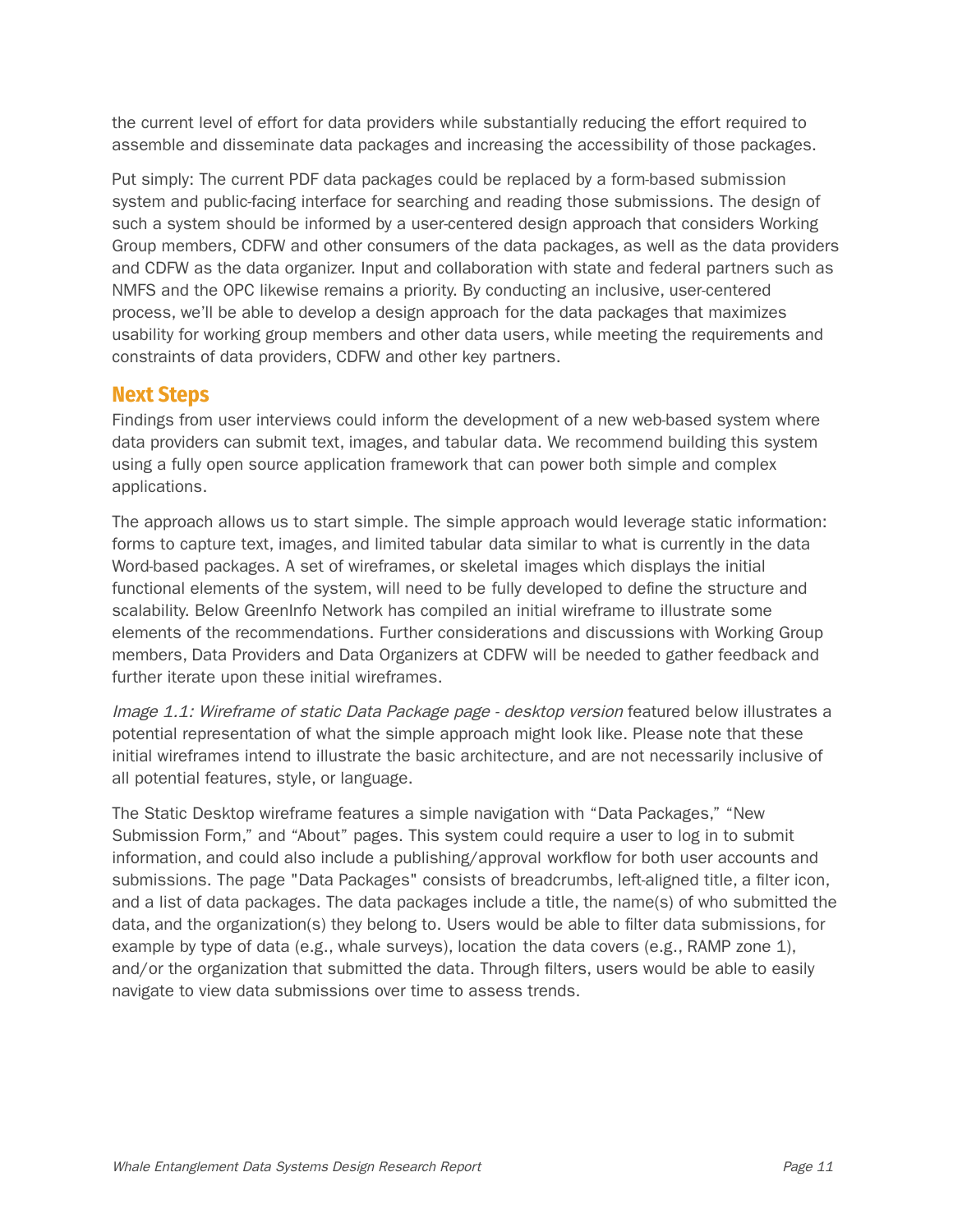the current level of effort for data providers while substantially reducing the effort required to assemble and disseminate data packages and increasing the accessibility of those packages.

Put simply: The current PDF data packages could be replaced by a form-based submission system and public-facing interface for searching and reading those submissions. The design of such a system should be informed by a user-centered design approach that considers Working Group members, CDFW and other consumers of the data packages, as well as the data providers and CDFW as the data organizer. Input and collaboration with state and federal partners such as NMFS and the OPC likewise remains a priority. By conducting an inclusive, user-centered process, we'll be able to develop a design approach for the data packages that maximizes usability for working group members and other data users, while meeting the requirements and constraints of data providers, CDFW and other key partners.

#### **Next Steps**

Findings from user interviews could inform the development of a new web-based system where data providers can submit text, images, and tabular data. We recommend building this system using a fully open source application framework that can power both simple and complex applications.

The approach allows us to start simple. The simple approach would leverage static information: forms to capture text, images, and limited tabular data similar to what is currently in the data Word-based packages. A set of wireframes, or skeletal images which displays the initial functional elements of the system, will need to be fully developed to define the structure and scalability. Below GreenInfo Network has compiled an initial wireframe to illustrate some elements of the recommendations. Further considerations and discussions with Working Group members, Data Providers and Data Organizers at CDFW will be needed to gather feedback and further iterate upon these initial wireframes.

Image 1.1: Wireframe of static Data Package page - desktop version featured below illustrates a potential representation of what the simple approach might look like. Please note that these initial wireframes intend to illustrate the basic architecture, and are not necessarily inclusive of all potential features, style, or language.

The Static Desktop wireframe features a simple navigation with "Data Packages," "New Submission Form," and "About" pages. This system could require a user to log in to submit information, and could also include a publishing/approval workflow for both user accounts and submissions. The page "Data Packages" consists of breadcrumbs, left-aligned title, a filter icon, and a list of data packages. The data packages include a title, the name(s) of who submitted the data, and the organization(s) they belong to. Users would be able to filter data submissions, for example by type of data (e.g., whale surveys), location the data covers (e.g., RAMP zone 1), and/or the organization that submitted the data. Through filters, users would be able to easily navigate to view data submissions over time to assess trends.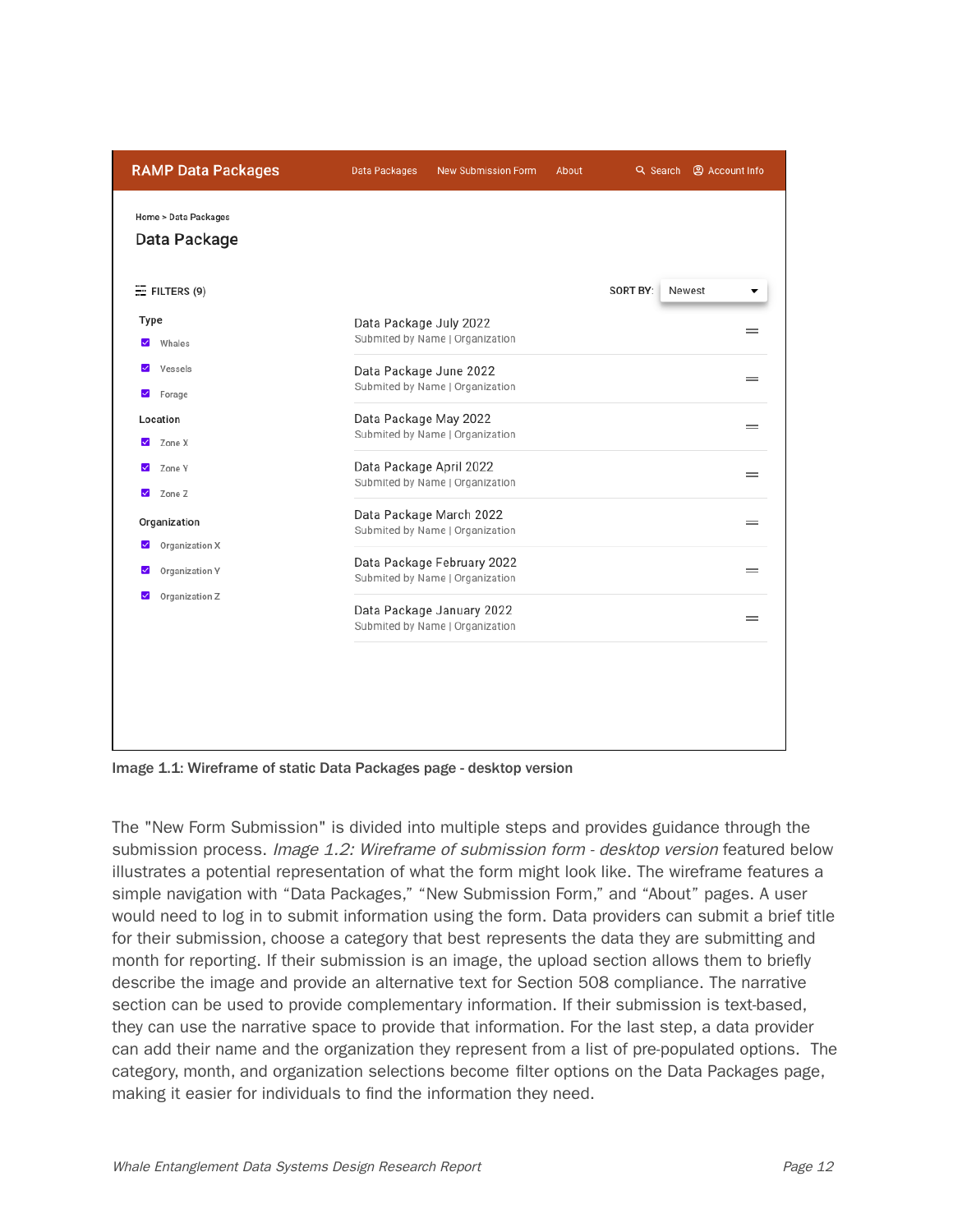| <b>RAMP Data Packages</b>                             | Data Packages           | <b>New Submission Form</b>                                    | About | Q Search @ Account Info |          |
|-------------------------------------------------------|-------------------------|---------------------------------------------------------------|-------|-------------------------|----------|
| Home > Data Packages<br>Data Package                  |                         |                                                               |       |                         |          |
| $E =$ FILTERS (9)                                     |                         |                                                               |       | SORT BY:<br>Newest      |          |
| Type<br>Whales<br>$\checkmark$                        | Data Package July 2022  | Submited by Name   Organization                               |       |                         | -        |
| $\checkmark$<br>Vessels<br>$\checkmark$<br>Forage     | Data Package June 2022  | Submited by Name   Organization                               |       |                         | =        |
| Location<br>Zone X<br>$\checkmark$                    | Data Package May 2022   | Submited by Name   Organization                               |       |                         | $=$      |
| Zone Y<br>$\checkmark$                                | Data Package April 2022 | Submited by Name   Organization                               |       |                         | $\equiv$ |
| $\checkmark$<br>Zone Z<br>Organization                |                         | Data Package March 2022<br>Submited by Name   Organization    |       |                         |          |
| Organization X<br>$\checkmark$<br>Organization Y<br>⊻ |                         | Data Package February 2022<br>Submited by Name   Organization |       |                         | $=$      |
| Organization Z<br>$\checkmark$                        |                         | Data Package January 2022<br>Submited by Name   Organization  |       |                         |          |
|                                                       |                         |                                                               |       |                         |          |
|                                                       |                         |                                                               |       |                         |          |
|                                                       |                         |                                                               |       |                         |          |

Image 1.1: Wireframe of static Data Packages page - desktop version

The "New Form Submission" is divided into multiple steps and provides guidance through the submission process. *Image 1.2: Wireframe of submission form - desktop version* featured below illustrates a potential representation of what the form might look like. The wireframe features a simple navigation with "Data Packages," "New Submission Form," and "About" pages. A user would need to log in to submit information using the form. Data providers can submit a brief title for their submission, choose a category that best represents the data they are submitting and month for reporting. If their submission is an image, the upload section allows them to briefly describe the image and provide an alternative text for Section 508 compliance. The narrative section can be used to provide complementary information. If their submission is text-based, they can use the narrative space to provide that information. For the last step, a data provider can add their name and the organization they represent from a list of pre-populated options. The category, month, and organization selections become filter options on the Data Packages page, making it easier for individuals to find the information they need.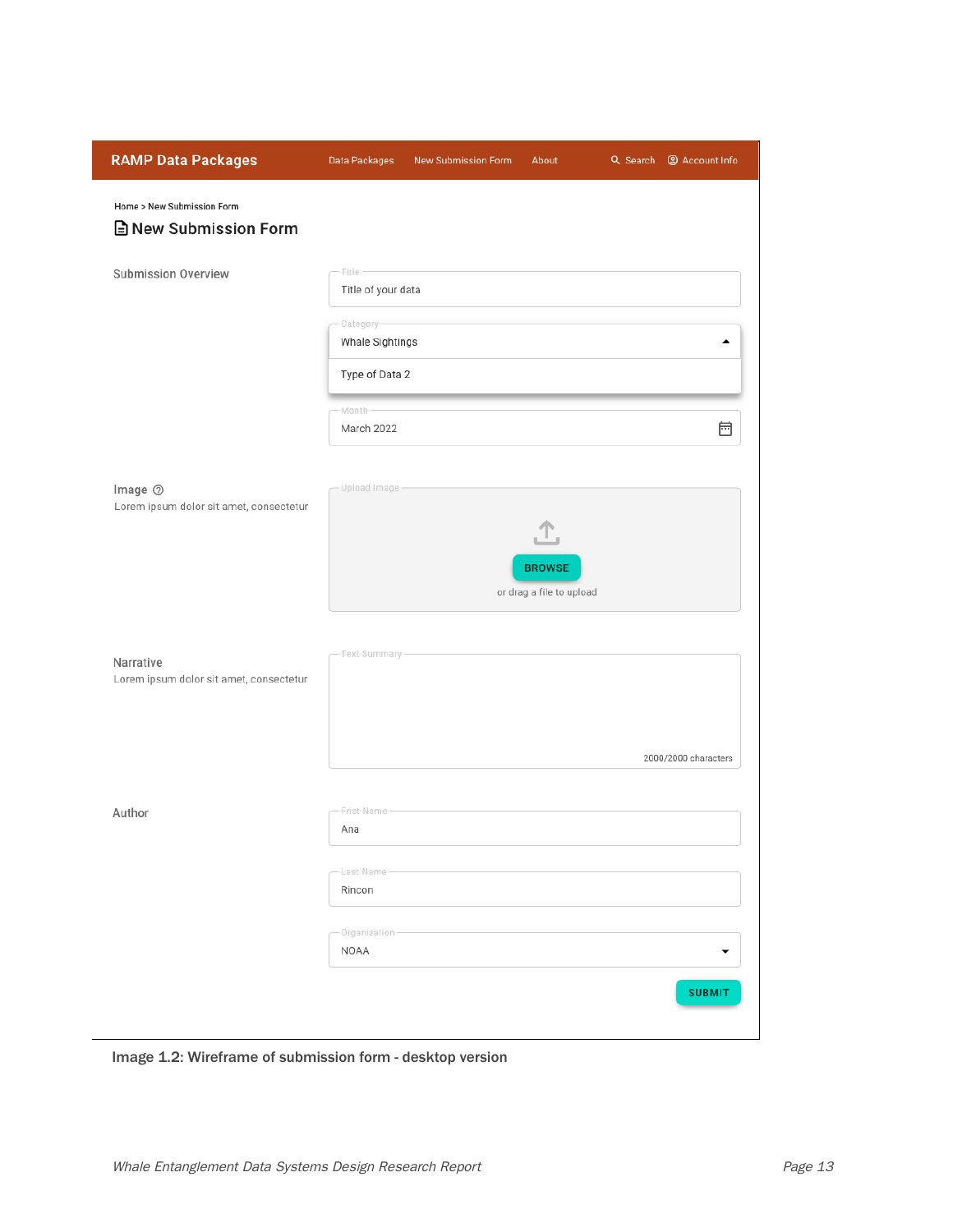| <b>RAMP Data Packages</b>                                  | Data Packages                                                                                   | New Submission Form | About                                          | Q Search <sup>@</sup> Account Info |
|------------------------------------------------------------|-------------------------------------------------------------------------------------------------|---------------------|------------------------------------------------|------------------------------------|
| Home > New Submission Form<br><b>■</b> New Submission Form |                                                                                                 |                     |                                                |                                    |
| <b>Submission Overview</b>                                 | <b>Title</b><br>Title of your data<br>Category-<br>Whale Sightings<br>Type of Data 2<br>-Month- |                     |                                                | ▴                                  |
| Image 2<br>Lorem ipsum dolor sit amet, consectetur         | March 2022<br>Upload Image                                                                      |                     | Ŀ<br><b>BROWSE</b><br>or drag a file to upload | 崗                                  |
| Narrative<br>Lorem ipsum dolor sit amet, consectetur       | -Text-Summary-                                                                                  |                     |                                                | 2000/2000 characters               |
| Author                                                     | Frist-Name<br>Ana<br>Last-Name-<br>Rincon<br>Organization<br>NOAA                               |                     |                                                | <b>SUBMIT</b>                      |
|                                                            |                                                                                                 |                     |                                                |                                    |

Image 1.2: Wireframe of submission form - desktop version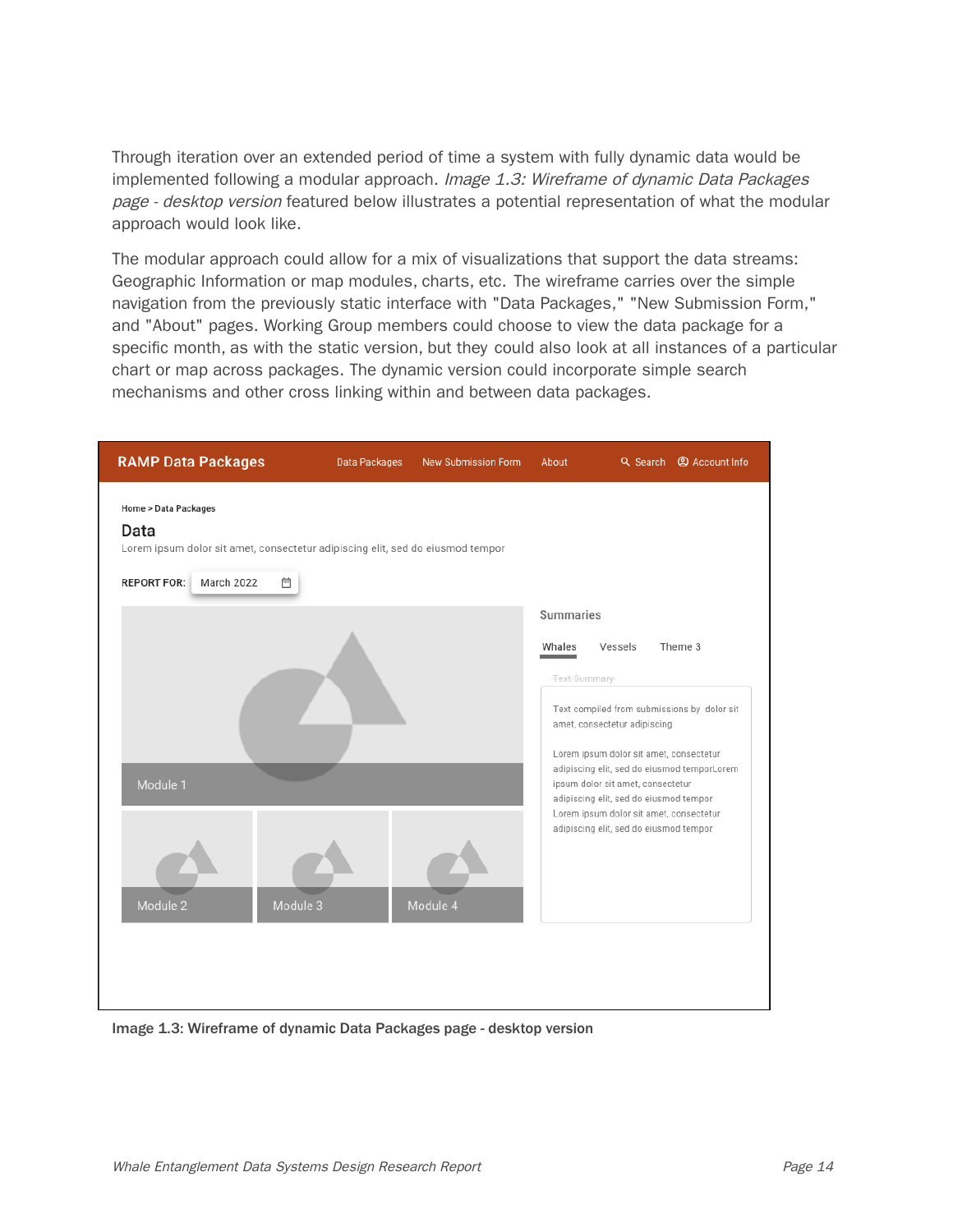Through iteration over an extended period of time a system with fully dynamic data would be implemented following a modular approach. Image 1.3: Wireframe of dynamic Data Packages page - desktop version featured below illustrates a potential representation of what the modular approach would look like.

The modular approach could allow for a mix of visualizations that support the data streams: Geographic Information or map modules, charts, etc. The wireframe carries over the simple navigation from the previously static interface with "Data Packages," "New Submission Form," and "About" pages. Working Group members could choose to view the data package for a specific month, as with the static version, but they could also look at all instances of a particular chart or map across packages. The dynamic version could incorporate simple search mechanisms and other cross linking within and between data packages.



Image 1.3: Wireframe of dynamic Data Packages page - desktop version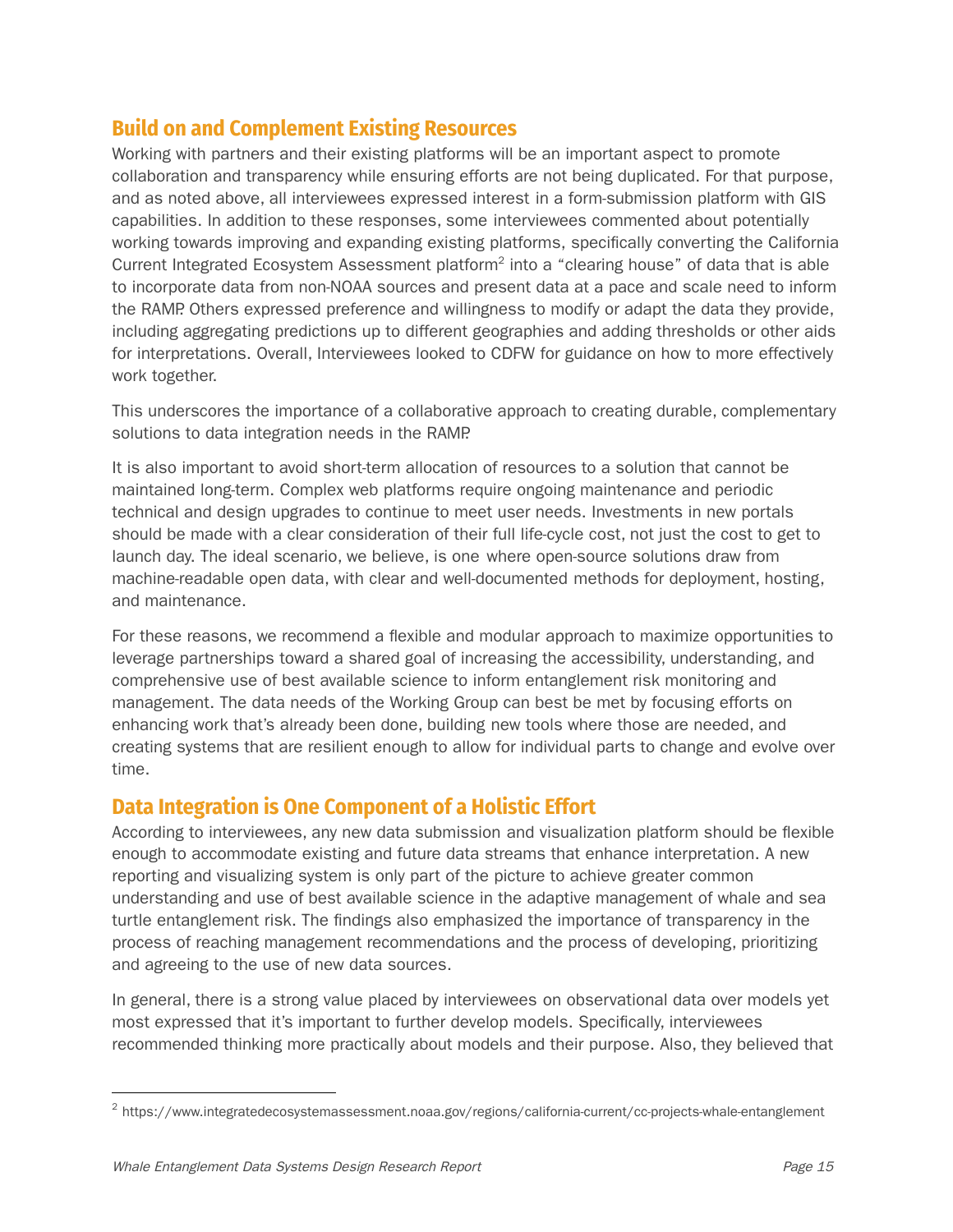## **Build on and Complement Existing Resources**

Working with partners and their existing platforms will be an important aspect to promote collaboration and transparency while ensuring efforts are not being duplicated. For that purpose, and as noted above, all interviewees expressed interest in a form-submission platform with GIS capabilities. In addition to these responses, some interviewees commented about potentially working towards improving and expanding existing platforms, specifically converting the California Current Integrated Ecosystem Assessment platform<sup>2</sup> into a "clearing house" of data that is able to incorporate data from non-NOAA sources and present data at a pace and scale need to inform the RAMP. Others expressed preference and willingness to modify or adapt the data they provide, including aggregating predictions up to different geographies and adding thresholds or other aids for interpretations. Overall, Interviewees looked to CDFW for guidance on how to more effectively work together.

This underscores the importance of a collaborative approach to creating durable, complementary solutions to data integration needs in the RAMP.

It is also important to avoid short-term allocation of resources to a solution that cannot be maintained long-term. Complex web platforms require ongoing maintenance and periodic technical and design upgrades to continue to meet user needs. Investments in new portals should be made with a clear consideration of their full life-cycle cost, not just the cost to get to launch day. The ideal scenario, we believe, is one where open-source solutions draw from machine-readable open data, with clear and well-documented methods for deployment, hosting, and maintenance.

For these reasons, we recommend a flexible and modular approach to maximize opportunities to leverage partnerships toward a shared goal of increasing the accessibility, understanding, and comprehensive use of best available science to inform entanglement risk monitoring and management. The data needs of the Working Group can best be met by focusing efforts on enhancing work that's already been done, building new tools where those are needed, and creating systems that are resilient enough to allow for individual parts to change and evolve over time.

## **Data Integration is One Component of a Holistic Effort**

According to interviewees, any new data submission and visualization platform should be flexible enough to accommodate existing and future data streams that enhance interpretation. A new reporting and visualizing system is only part of the picture to achieve greater common understanding and use of best available science in the adaptive management of whale and sea turtle entanglement risk. The findings also emphasized the importance of transparency in the process of reaching management recommendations and the process of developing, prioritizing and agreeing to the use of new data sources.

In general, there is a strong value placed by interviewees on observational data over models yet most expressed that it's important to further develop models. Specifically, interviewees recommended thinking more practically about models and their purpose. Also, they believed that

<sup>2</sup> https://www.integratedecosystemassessment.noaa.gov/regions/california-current/cc-projects-whale-entanglement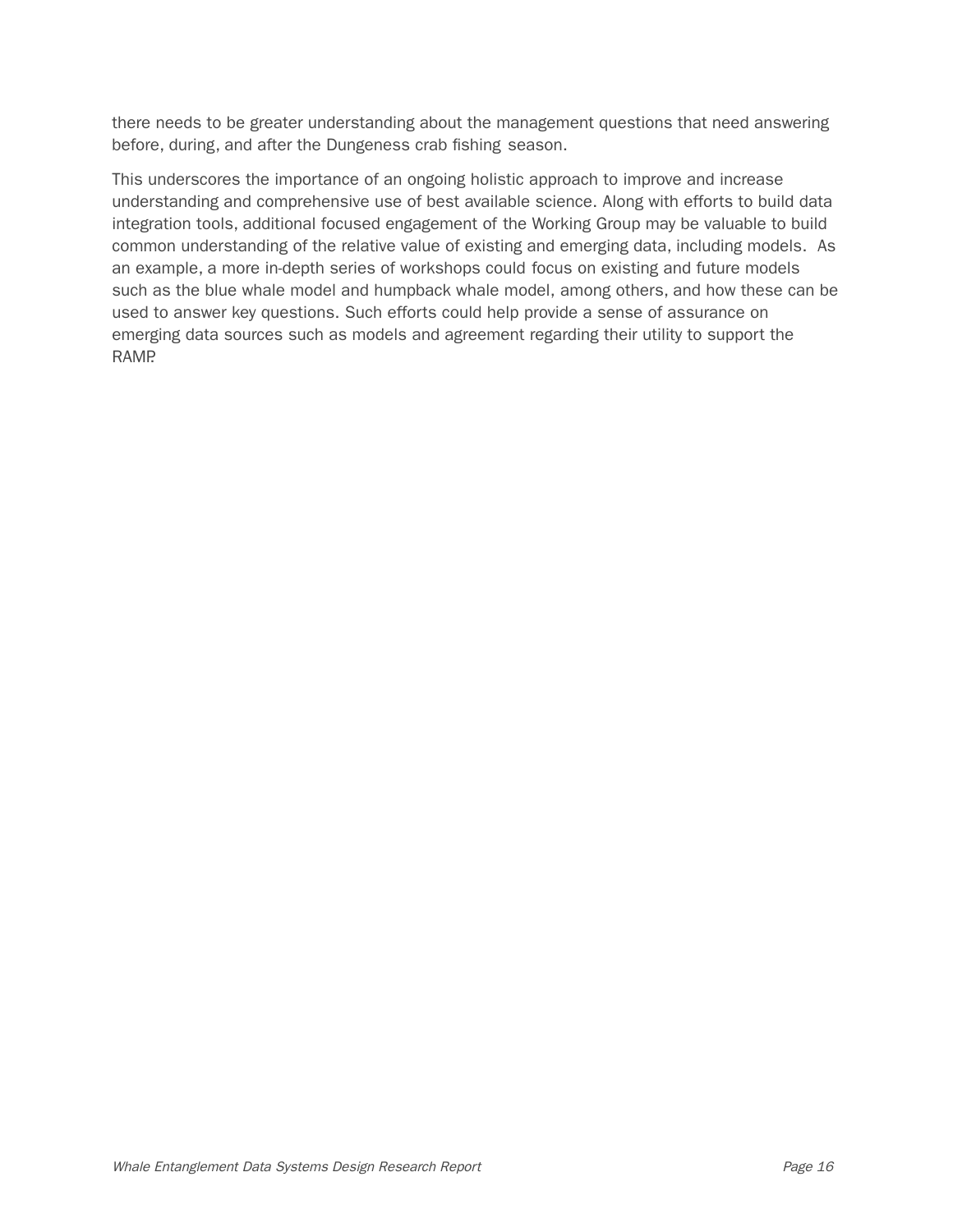there needs to be greater understanding about the management questions that need answering before, during, and after the Dungeness crab fishing season.

This underscores the importance of an ongoing holistic approach to improve and increase understanding and comprehensive use of best available science. Along with efforts to build data integration tools, additional focused engagement of the Working Group may be valuable to build common understanding of the relative value of existing and emerging data, including models. As an example, a more in-depth series of workshops could focus on existing and future models such as the blue whale model and humpback whale model, among others, and how these can be used to answer key questions. Such efforts could help provide a sense of assurance on emerging data sources such as models and agreement regarding their utility to support the RAMP.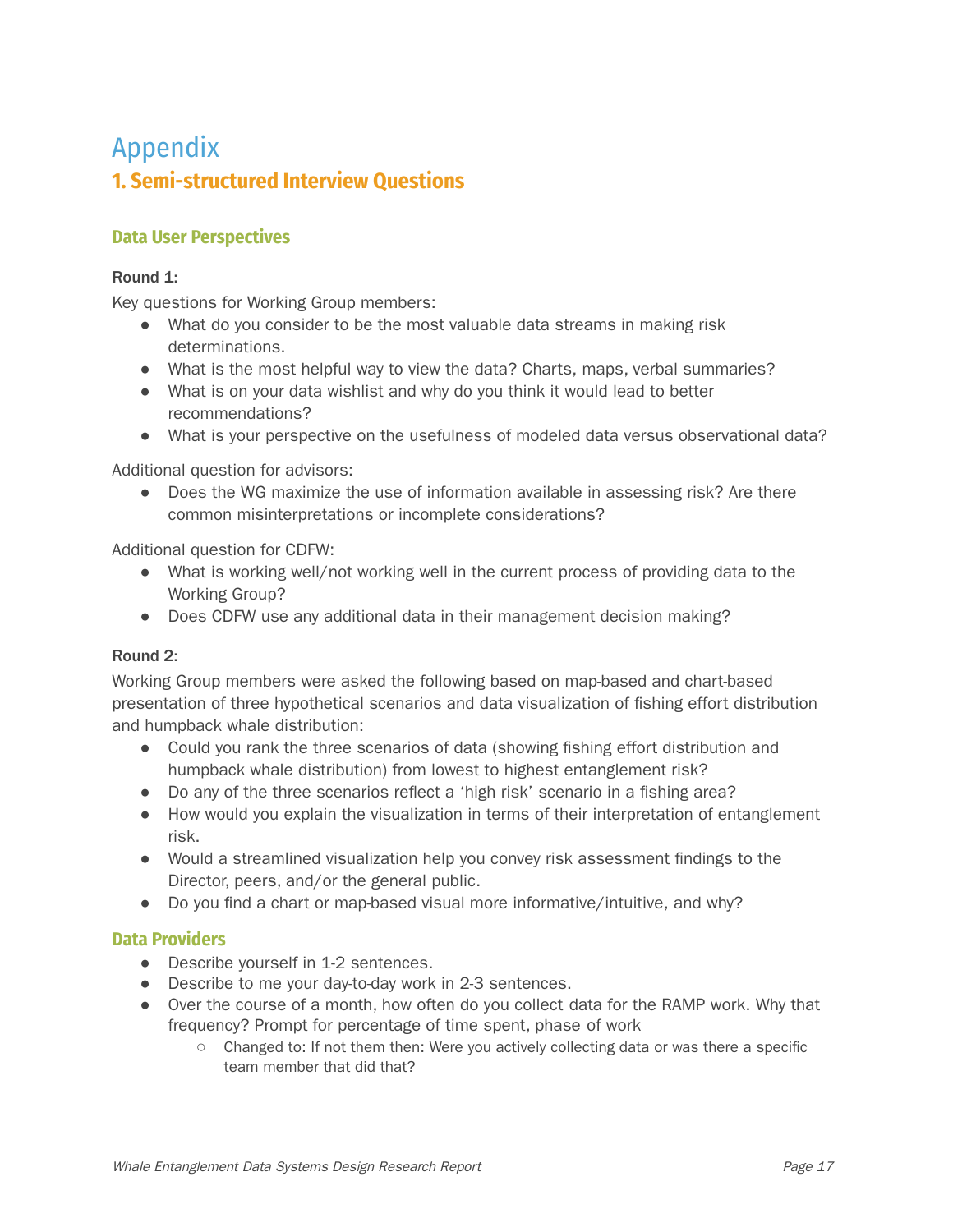## Appendix **1. Semi-structured Interview Questions**

#### **Data User Perspectives**

#### Round 1:

Key questions for Working Group members:

- What do you consider to be the most valuable data streams in making risk determinations.
- What is the most helpful way to view the data? Charts, maps, verbal summaries?
- What is on your data wishlist and why do you think it would lead to better recommendations?
- What is your perspective on the usefulness of modeled data versus observational data?

Additional question for advisors:

• Does the WG maximize the use of information available in assessing risk? Are there common misinterpretations or incomplete considerations?

Additional question for CDFW:

- What is working well/not working well in the current process of providing data to the Working Group?
- Does CDFW use any additional data in their management decision making?

#### Round 2:

Working Group members were asked the following based on map-based and chart-based presentation of three hypothetical scenarios and data visualization of fishing effort distribution and humpback whale distribution:

- Could you rank the three scenarios of data (showing fishing effort distribution and humpback whale distribution) from lowest to highest entanglement risk?
- Do any of the three scenarios reflect a 'high risk' scenario in a fishing area?
- How would you explain the visualization in terms of their interpretation of entanglement risk.
- Would a streamlined visualization help you convey risk assessment findings to the Director, peers, and/or the general public.
- Do you find a chart or map-based visual more informative/intuitive, and why?

#### **Data Providers**

- Describe yourself in 1-2 sentences.
- Describe to me your day-to-day work in 2-3 sentences.
- Over the course of a month, how often do you collect data for the RAMP work. Why that frequency? Prompt for percentage of time spent, phase of work
	- Changed to: If not them then: Were you actively collecting data or was there a specific team member that did that?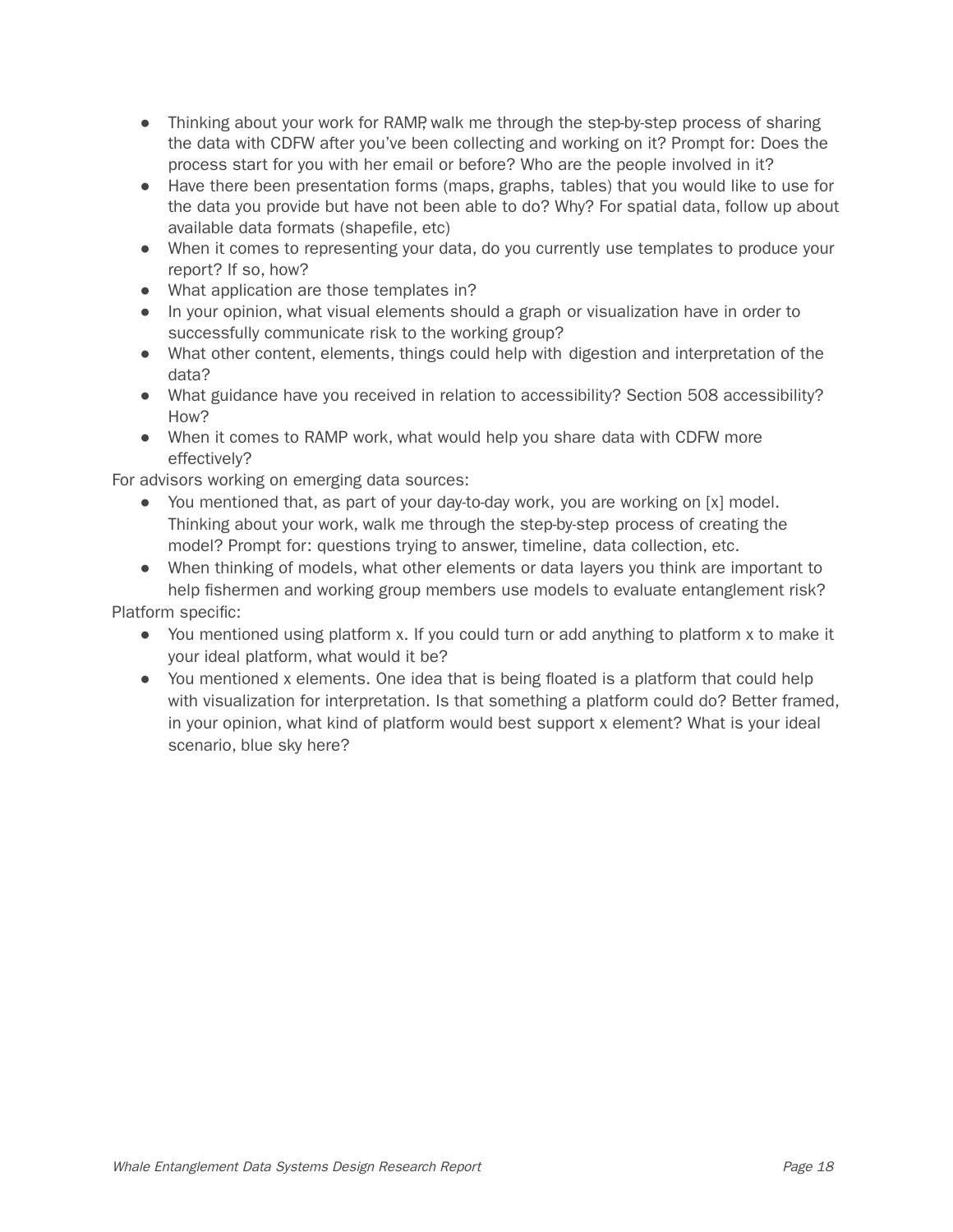- Thinking about your work for RAMP, walk me through the step-by-step process of sharing the data with CDFW after you've been collecting and working on it? Prompt for: Does the process start for you with her email or before? Who are the people involved in it?
- Have there been presentation forms (maps, graphs, tables) that you would like to use for the data you provide but have not been able to do? Why? For spatial data, follow up about available data formats (shapefile, etc)
- When it comes to representing your data, do you currently use templates to produce your report? If so, how?
- What application are those templates in?
- In your opinion, what visual elements should a graph or visualization have in order to successfully communicate risk to the working group?
- What other content, elements, things could help with digestion and interpretation of the data?
- What guidance have you received in relation to accessibility? Section 508 accessibility? How?
- When it comes to RAMP work, what would help you share data with CDFW more effectively?

For advisors working on emerging data sources:

- You mentioned that, as part of your day-to-day work, you are working on [x] model. Thinking about your work, walk me through the step-by-step process of creating the model? Prompt for: questions trying to answer, timeline, data collection, etc.
- When thinking of models, what other elements or data layers you think are important to help fishermen and working group members use models to evaluate entanglement risk?

Platform specific:

- You mentioned using platform x. If you could turn or add anything to platform x to make it your ideal platform, what would it be?
- You mentioned x elements. One idea that is being floated is a platform that could help with visualization for interpretation. Is that something a platform could do? Better framed, in your opinion, what kind of platform would best support x element? What is your ideal scenario, blue sky here?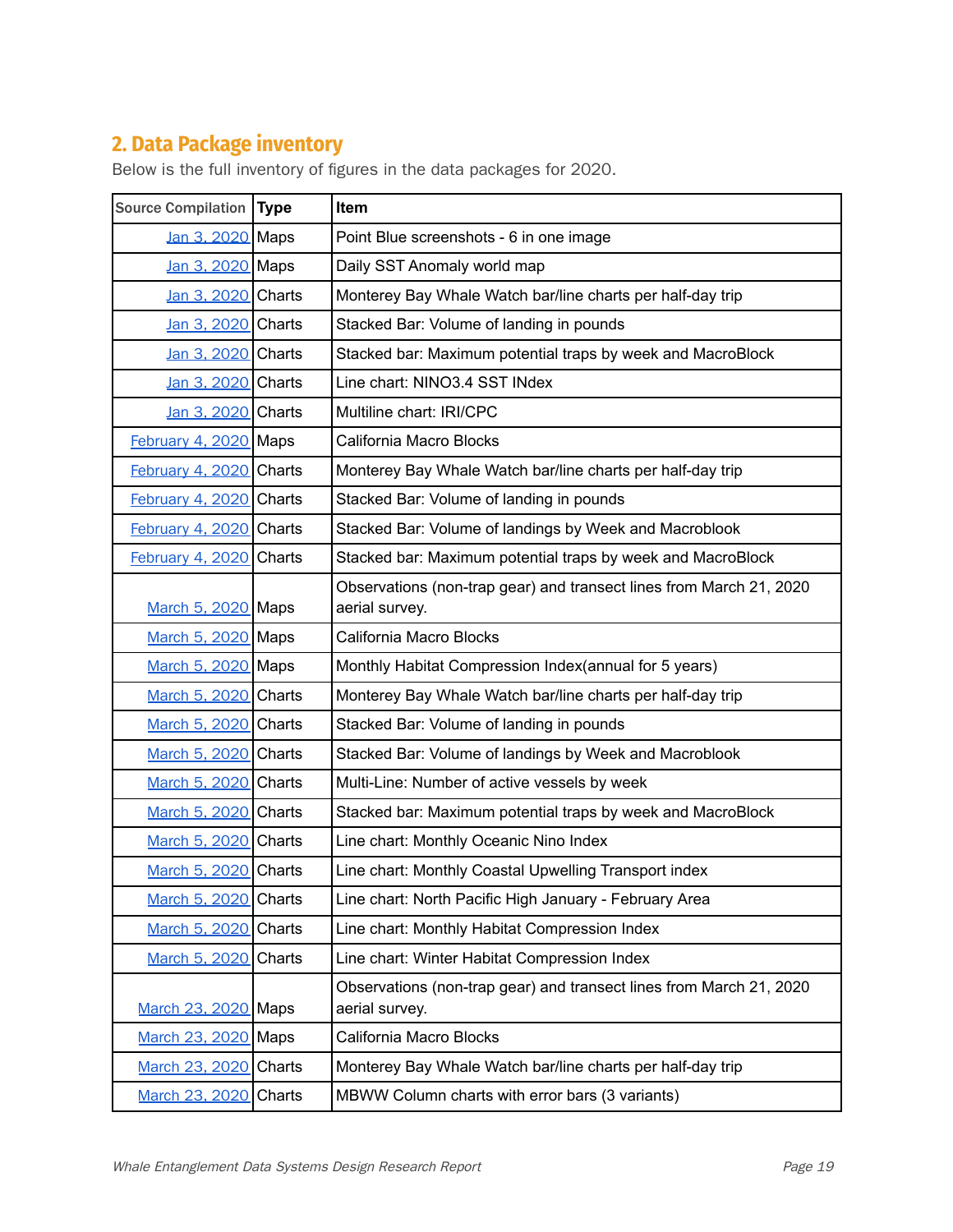## **2. Data Package inventory**

| Source Compilation Type |               | Item                                                                                  |
|-------------------------|---------------|---------------------------------------------------------------------------------------|
| Jan 3, 2020 Maps        |               | Point Blue screenshots - 6 in one image                                               |
| Jan 3, 2020 Maps        |               | Daily SST Anomaly world map                                                           |
| Jan 3, 2020 Charts      |               | Monterey Bay Whale Watch bar/line charts per half-day trip                            |
| Jan 3, 2020 Charts      |               | Stacked Bar: Volume of landing in pounds                                              |
| Jan 3, 2020 Charts      |               | Stacked bar: Maximum potential traps by week and MacroBlock                           |
| Jan 3, 2020 Charts      |               | Line chart: NINO3.4 SST INdex                                                         |
| Jan 3, 2020 Charts      |               | Multiline chart: IRI/CPC                                                              |
| February 4, 2020 Maps   |               | California Macro Blocks                                                               |
| February 4, 2020 Charts |               | Monterey Bay Whale Watch bar/line charts per half-day trip                            |
| February 4, 2020 Charts |               | Stacked Bar: Volume of landing in pounds                                              |
| February 4, 2020 Charts |               | Stacked Bar: Volume of landings by Week and Macroblook                                |
| February 4, 2020        | <b>Charts</b> | Stacked bar: Maximum potential traps by week and MacroBlock                           |
| March 5, 2020 Maps      |               | Observations (non-trap gear) and transect lines from March 21, 2020<br>aerial survey. |
| March 5, 2020 Maps      |               | California Macro Blocks                                                               |
| March 5, 2020 Maps      |               | Monthly Habitat Compression Index(annual for 5 years)                                 |
| March 5, 2020 Charts    |               | Monterey Bay Whale Watch bar/line charts per half-day trip                            |
| March 5, 2020 Charts    |               | Stacked Bar: Volume of landing in pounds                                              |
| March 5, 2020 Charts    |               | Stacked Bar: Volume of landings by Week and Macroblook                                |
| March 5, 2020 Charts    |               | Multi-Line: Number of active vessels by week                                          |
| March 5, 2020 Charts    |               | Stacked bar: Maximum potential traps by week and MacroBlock                           |
| March 5, 2020 Charts    |               | Line chart: Monthly Oceanic Nino Index                                                |
| March 5, 2020           | Charts        | Line chart: Monthly Coastal Upwelling Transport index                                 |
| March 5, 2020 Charts    |               | Line chart: North Pacific High January - February Area                                |
| March 5, 2020 Charts    |               | Line chart: Monthly Habitat Compression Index                                         |
| March 5, 2020 Charts    |               | Line chart: Winter Habitat Compression Index                                          |
| March 23, 2020 Maps     |               | Observations (non-trap gear) and transect lines from March 21, 2020<br>aerial survey. |
| March 23, 2020 Maps     |               | California Macro Blocks                                                               |
| March 23, 2020 Charts   |               | Monterey Bay Whale Watch bar/line charts per half-day trip                            |
| March 23, 2020          | Charts        | MBWW Column charts with error bars (3 variants)                                       |

Below is the full inventory of figures in the data packages for 2020.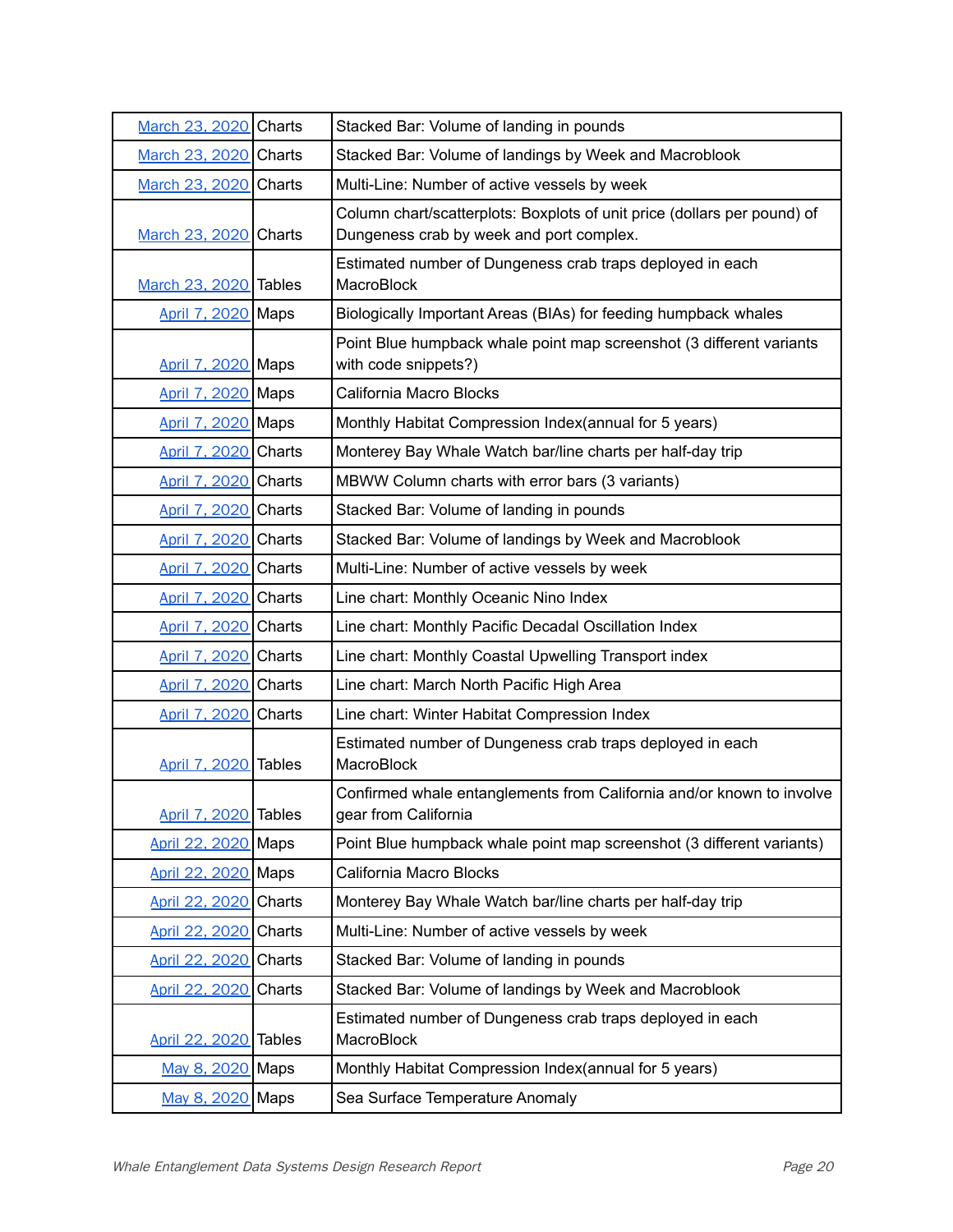| March 23, 2020 Charts | Stacked Bar: Volume of landing in pounds                                                                             |
|-----------------------|----------------------------------------------------------------------------------------------------------------------|
| March 23, 2020 Charts | Stacked Bar: Volume of landings by Week and Macroblook                                                               |
| March 23, 2020 Charts | Multi-Line: Number of active vessels by week                                                                         |
| March 23, 2020 Charts | Column chart/scatterplots: Boxplots of unit price (dollars per pound) of<br>Dungeness crab by week and port complex. |
| March 23, 2020 Tables | Estimated number of Dungeness crab traps deployed in each<br>MacroBlock                                              |
| April 7, 2020 Maps    | Biologically Important Areas (BIAs) for feeding humpback whales                                                      |
| April 7, 2020 Maps    | Point Blue humpback whale point map screenshot (3 different variants<br>with code snippets?)                         |
| April 7, 2020 Maps    | California Macro Blocks                                                                                              |
| April 7, 2020 Maps    | Monthly Habitat Compression Index(annual for 5 years)                                                                |
| April 7, 2020 Charts  | Monterey Bay Whale Watch bar/line charts per half-day trip                                                           |
| April 7, 2020 Charts  | MBWW Column charts with error bars (3 variants)                                                                      |
| April 7, 2020 Charts  | Stacked Bar: Volume of landing in pounds                                                                             |
| April 7, 2020 Charts  | Stacked Bar: Volume of landings by Week and Macroblook                                                               |
| April 7, 2020 Charts  | Multi-Line: Number of active vessels by week                                                                         |
| April 7, 2020 Charts  | Line chart: Monthly Oceanic Nino Index                                                                               |
| April 7, 2020 Charts  | Line chart: Monthly Pacific Decadal Oscillation Index                                                                |
| April 7, 2020 Charts  | Line chart: Monthly Coastal Upwelling Transport index                                                                |
| April 7, 2020 Charts  | Line chart: March North Pacific High Area                                                                            |
| April 7, 2020 Charts  | Line chart: Winter Habitat Compression Index                                                                         |
| April 7, 2020 Tables  | Estimated number of Dungeness crab traps deployed in each<br>MacroBlock                                              |
| April 7, 2020 Tables  | Confirmed whale entanglements from California and/or known to involve<br>gear from California                        |
| April 22, 2020 Maps   | Point Blue humpback whale point map screenshot (3 different variants)                                                |
| April 22, 2020 Maps   | California Macro Blocks                                                                                              |
| April 22, 2020 Charts | Monterey Bay Whale Watch bar/line charts per half-day trip                                                           |
| April 22, 2020 Charts | Multi-Line: Number of active vessels by week                                                                         |
| April 22, 2020 Charts | Stacked Bar: Volume of landing in pounds                                                                             |
| April 22, 2020 Charts | Stacked Bar: Volume of landings by Week and Macroblook                                                               |
| April 22, 2020 Tables | Estimated number of Dungeness crab traps deployed in each<br>MacroBlock                                              |
| May 8, 2020 Maps      | Monthly Habitat Compression Index(annual for 5 years)                                                                |
| May 8, 2020 Maps      | Sea Surface Temperature Anomaly                                                                                      |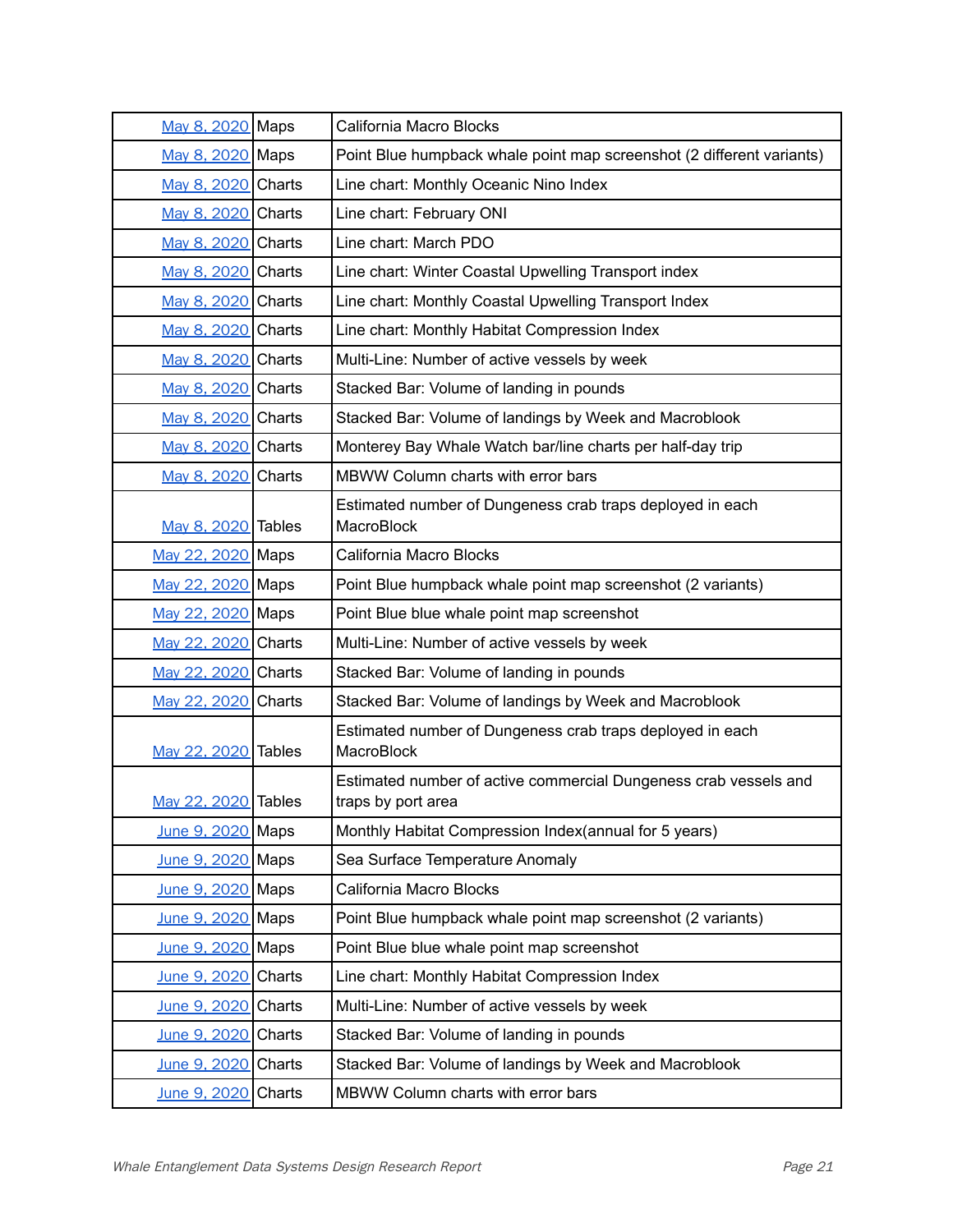| May 8, 2020 Maps    | California Macro Blocks                                                                |
|---------------------|----------------------------------------------------------------------------------------|
| May 8, 2020 Maps    | Point Blue humpback whale point map screenshot (2 different variants)                  |
| May 8, 2020 Charts  | Line chart: Monthly Oceanic Nino Index                                                 |
| May 8, 2020 Charts  | Line chart: February ONI                                                               |
| May 8, 2020 Charts  | Line chart: March PDO                                                                  |
| May 8, 2020 Charts  | Line chart: Winter Coastal Upwelling Transport index                                   |
| May 8, 2020 Charts  | Line chart: Monthly Coastal Upwelling Transport Index                                  |
| May 8, 2020 Charts  | Line chart: Monthly Habitat Compression Index                                          |
| May 8, 2020 Charts  | Multi-Line: Number of active vessels by week                                           |
| May 8, 2020 Charts  | Stacked Bar: Volume of landing in pounds                                               |
| May 8, 2020 Charts  | Stacked Bar: Volume of landings by Week and Macroblook                                 |
| May 8, 2020 Charts  | Monterey Bay Whale Watch bar/line charts per half-day trip                             |
| May 8, 2020 Charts  | MBWW Column charts with error bars                                                     |
| May 8, 2020 Tables  | Estimated number of Dungeness crab traps deployed in each<br>MacroBlock                |
| May 22, 2020 Maps   | California Macro Blocks                                                                |
| May 22, 2020 Maps   | Point Blue humpback whale point map screenshot (2 variants)                            |
| May 22, 2020 Maps   | Point Blue blue whale point map screenshot                                             |
| May 22, 2020 Charts | Multi-Line: Number of active vessels by week                                           |
| May 22, 2020 Charts | Stacked Bar: Volume of landing in pounds                                               |
| May 22, 2020 Charts | Stacked Bar: Volume of landings by Week and Macroblook                                 |
| May 22, 2020 Tables | Estimated number of Dungeness crab traps deployed in each<br>MacroBlock                |
| May 22, 2020 Tables | Estimated number of active commercial Dungeness crab vessels and<br>traps by port area |
| June 9, 2020 Maps   | Monthly Habitat Compression Index(annual for 5 years)                                  |
| June 9, 2020 Maps   | Sea Surface Temperature Anomaly                                                        |
| June 9, 2020 Maps   | California Macro Blocks                                                                |
| June 9, 2020 Maps   | Point Blue humpback whale point map screenshot (2 variants)                            |
| June 9, 2020 Maps   | Point Blue blue whale point map screenshot                                             |
| June 9, 2020 Charts | Line chart: Monthly Habitat Compression Index                                          |
| June 9, 2020 Charts | Multi-Line: Number of active vessels by week                                           |
| June 9, 2020 Charts | Stacked Bar: Volume of landing in pounds                                               |
| June 9, 2020 Charts | Stacked Bar: Volume of landings by Week and Macroblook                                 |
| June 9, 2020 Charts | MBWW Column charts with error bars                                                     |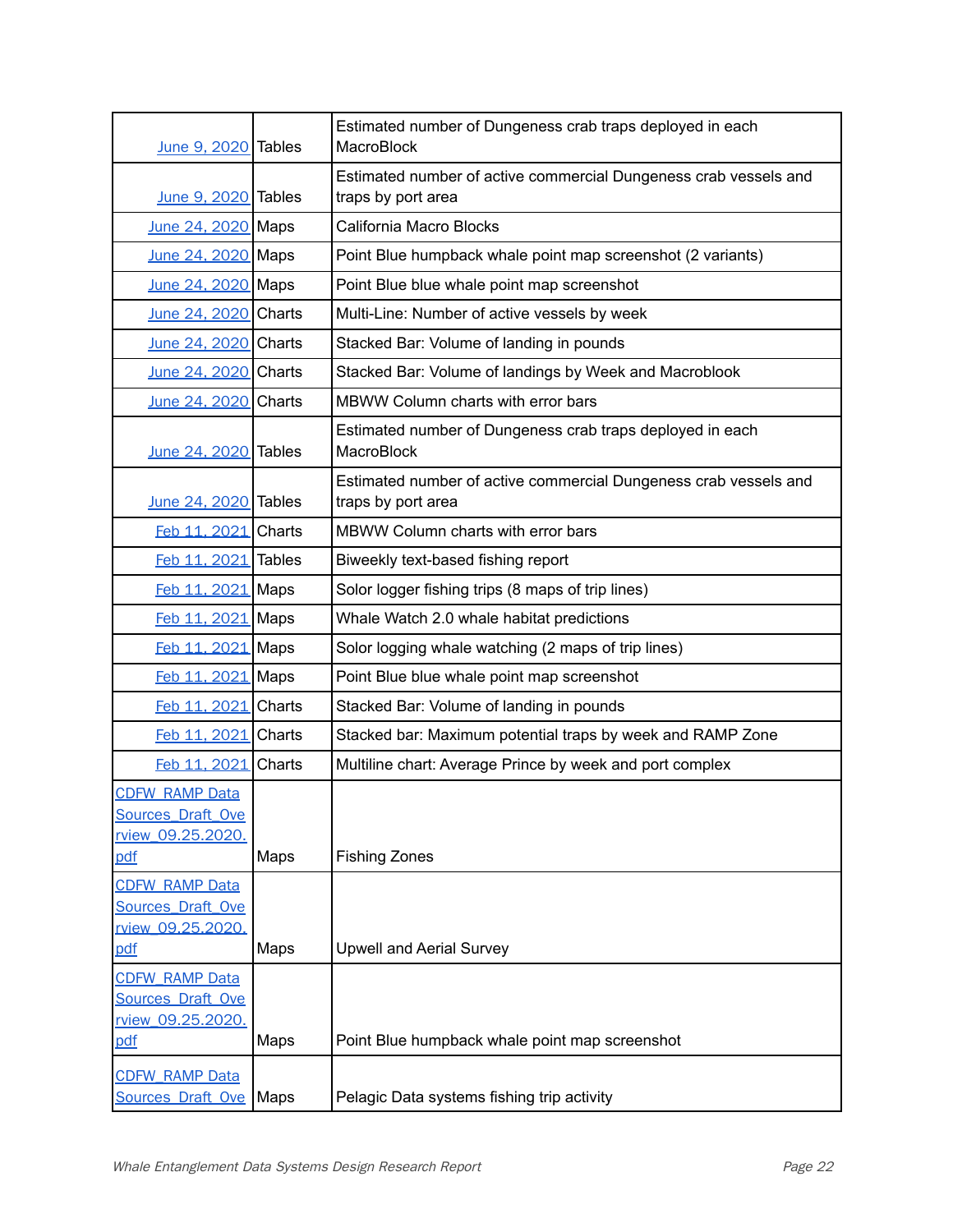| June 9, 2020 Tables                           |        | Estimated number of Dungeness crab traps deployed in each<br>MacroBlock                |
|-----------------------------------------------|--------|----------------------------------------------------------------------------------------|
| June 9, 2020 Tables                           |        | Estimated number of active commercial Dungeness crab vessels and<br>traps by port area |
| June 24, 2020 Maps                            |        | California Macro Blocks                                                                |
| June 24, 2020 Maps                            |        | Point Blue humpback whale point map screenshot (2 variants)                            |
| June 24, 2020 Maps                            |        | Point Blue blue whale point map screenshot                                             |
| June 24, 2020 Charts                          |        | Multi-Line: Number of active vessels by week                                           |
| June 24, 2020 Charts                          |        | Stacked Bar: Volume of landing in pounds                                               |
| June 24, 2020 Charts                          |        | Stacked Bar: Volume of landings by Week and Macroblook                                 |
| June 24, 2020                                 | Charts | MBWW Column charts with error bars                                                     |
| June 24, 2020 Tables                          |        | Estimated number of Dungeness crab traps deployed in each<br>MacroBlock                |
| June 24, 2020 Tables                          |        | Estimated number of active commercial Dungeness crab vessels and<br>traps by port area |
| Feb 11, 2021                                  | Charts | MBWW Column charts with error bars                                                     |
| Feb 11, 2021 Tables                           |        | Biweekly text-based fishing report                                                     |
| Feb 11, 2021                                  | Maps   | Solor logger fishing trips (8 maps of trip lines)                                      |
| Feb 11, 2021 Maps                             |        | Whale Watch 2.0 whale habitat predictions                                              |
| Feb 11, 2021 Maps                             |        | Solor logging whale watching (2 maps of trip lines)                                    |
| Feb 11, 2021 Maps                             |        | Point Blue blue whale point map screenshot                                             |
| Feb 11, 2021                                  | Charts | Stacked Bar: Volume of landing in pounds                                               |
| Feb 11, 2021                                  | Charts | Stacked bar: Maximum potential traps by week and RAMP Zone                             |
| Feb 11, 2021                                  | Charts | Multiline chart: Average Prince by week and port complex                               |
| <b>CDFW RAMP Data</b>                         |        |                                                                                        |
| <b>Sources Draft Ove</b><br>rview 09.25.2020. |        |                                                                                        |
| pdf                                           | Maps   | <b>Fishing Zones</b>                                                                   |
| <b>CDFW RAMP Data</b>                         |        |                                                                                        |
| <b>Sources Draft Ove</b>                      |        |                                                                                        |
| rview 09.25.2020.                             | Maps   | <b>Upwell and Aerial Survey</b>                                                        |
| pdf                                           |        |                                                                                        |
| <b>CDFW RAMP Data</b><br>Sources Draft Ove    |        |                                                                                        |
| rview 09.25.2020.                             |        |                                                                                        |
| pdf                                           | Maps   | Point Blue humpback whale point map screenshot                                         |
| <b>CDFW RAMP Data</b>                         |        |                                                                                        |
| <b>Sources Draft Ove</b>                      | Maps   | Pelagic Data systems fishing trip activity                                             |